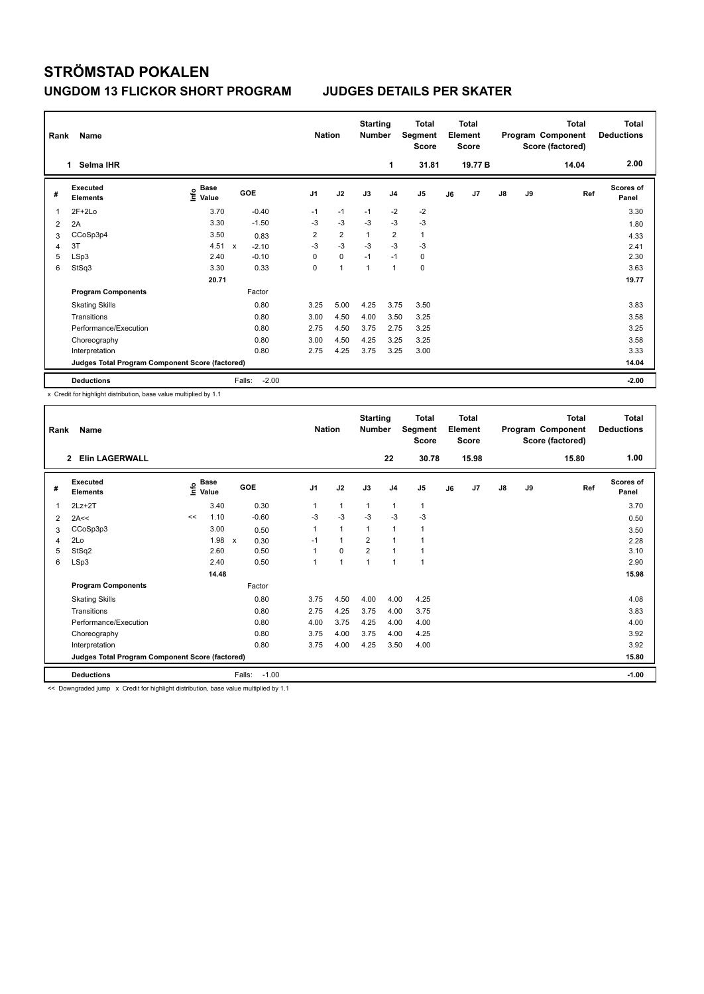| Rank | Name<br>Selma IHR<br>1.                         |                           |              |         | <b>Nation</b>  |                | <b>Starting</b><br><b>Number</b> |                | <b>Total</b><br>Segment<br><b>Score</b> |    | <b>Total</b><br>Element<br><b>Score</b> |    |    | <b>Total</b><br>Program Component<br>Score (factored) | <b>Total</b><br><b>Deductions</b> |
|------|-------------------------------------------------|---------------------------|--------------|---------|----------------|----------------|----------------------------------|----------------|-----------------------------------------|----|-----------------------------------------|----|----|-------------------------------------------------------|-----------------------------------|
|      |                                                 |                           |              |         |                |                |                                  | 1              | 31.81                                   |    | 19.77 B                                 |    |    | 14.04                                                 | 2.00                              |
| #    | Executed<br><b>Elements</b>                     | Base<br>e Base<br>⊆ Value | <b>GOE</b>   |         | J <sub>1</sub> | J2             | J3                               | J <sub>4</sub> | J5                                      | J6 | J7                                      | J8 | J9 | Ref                                                   | Scores of<br>Panel                |
| 1    | $2F+2Lo$                                        | 3.70                      |              | $-0.40$ | $-1$           | $-1$           | $-1$                             | $-2$           | $-2$                                    |    |                                         |    |    |                                                       | 3.30                              |
| 2    | 2A                                              | 3.30                      |              | $-1.50$ | $-3$           | $-3$           | $-3$                             | $-3$           | $-3$                                    |    |                                         |    |    |                                                       | 1.80                              |
| 3    | CCoSp3p4                                        | 3.50                      |              | 0.83    | $\overline{2}$ | $\overline{2}$ | 1                                | $\overline{2}$ | 1                                       |    |                                         |    |    |                                                       | 4.33                              |
| 4    | 3T                                              | 4.51                      | $\mathsf{x}$ | $-2.10$ | $-3$           | $-3$           | $-3$                             | $-3$           | $-3$                                    |    |                                         |    |    |                                                       | 2.41                              |
| 5    | LSp3                                            | 2.40                      |              | $-0.10$ | 0              | $\mathbf 0$    | $-1$                             | $-1$           | 0                                       |    |                                         |    |    |                                                       | 2.30                              |
| 6    | StSq3                                           | 3.30                      |              | 0.33    | 0              | 1              | 1                                | $\overline{1}$ | $\pmb{0}$                               |    |                                         |    |    |                                                       | 3.63                              |
|      |                                                 | 20.71                     |              |         |                |                |                                  |                |                                         |    |                                         |    |    |                                                       | 19.77                             |
|      | <b>Program Components</b>                       |                           |              | Factor  |                |                |                                  |                |                                         |    |                                         |    |    |                                                       |                                   |
|      | <b>Skating Skills</b>                           |                           |              | 0.80    | 3.25           | 5.00           | 4.25                             | 3.75           | 3.50                                    |    |                                         |    |    |                                                       | 3.83                              |
|      | Transitions                                     |                           |              | 0.80    | 3.00           | 4.50           | 4.00                             | 3.50           | 3.25                                    |    |                                         |    |    |                                                       | 3.58                              |
|      | Performance/Execution                           |                           |              | 0.80    | 2.75           | 4.50           | 3.75                             | 2.75           | 3.25                                    |    |                                         |    |    |                                                       | 3.25                              |
|      | Choreography                                    |                           |              | 0.80    | 3.00           | 4.50           | 4.25                             | 3.25           | 3.25                                    |    |                                         |    |    |                                                       | 3.58                              |
|      | Interpretation                                  |                           |              | 0.80    | 2.75           | 4.25           | 3.75                             | 3.25           | 3.00                                    |    |                                         |    |    |                                                       | 3.33                              |
|      | Judges Total Program Component Score (factored) |                           |              |         |                |                |                                  |                |                                         |    |                                         |    |    |                                                       | 14.04                             |
|      | <b>Deductions</b>                               |                           | Falls:       | $-2.00$ |                |                |                                  |                |                                         |    |                                         |    |    |                                                       | $-2.00$                           |

x Credit for highlight distribution, base value multiplied by 1.1

| Rank | Name<br><b>Elin LAGERWALL</b><br>$\mathbf{2}$   |                                  |        |                   | <b>Nation</b>  |             | <b>Starting</b><br><b>Number</b> |                | <b>Total</b><br>Segment<br>Score |    | <b>Total</b><br>Element<br><b>Score</b> |               |    | Total<br>Program Component<br>Score (factored) | <b>Total</b><br><b>Deductions</b> |
|------|-------------------------------------------------|----------------------------------|--------|-------------------|----------------|-------------|----------------------------------|----------------|----------------------------------|----|-----------------------------------------|---------------|----|------------------------------------------------|-----------------------------------|
|      |                                                 |                                  |        |                   |                |             |                                  | 22             | 30.78                            |    | 15.98                                   |               |    | 15.80                                          | 1.00                              |
| #    | Executed<br><b>Elements</b>                     | <b>Base</b><br>e Base<br>⊆ Value |        | GOE               | J <sub>1</sub> | J2          | J3                               | J <sub>4</sub> | J <sub>5</sub>                   | J6 | J7                                      | $\mathsf{J}8$ | J9 | Ref                                            | <b>Scores of</b><br>Panel         |
| 1    | $2Lz+2T$                                        |                                  | 3.40   | 0.30              | 1              | 1           | 1                                | 1              | $\mathbf{1}$                     |    |                                         |               |    |                                                | 3.70                              |
| 2    | 2A<<                                            | <<                               | 1.10   | $-0.60$           | $-3$           | $-3$        | $-3$                             | $-3$           | $-3$                             |    |                                         |               |    |                                                | 0.50                              |
| 3    | CCoSp3p3                                        |                                  | 3.00   | 0.50              | 1              | 1           | $\mathbf{1}$                     | 1              | 1                                |    |                                         |               |    |                                                | 3.50                              |
| 4    | 2Lo                                             |                                  | 1.98 x | 0.30              | $-1$           | $\mathbf 1$ | $\overline{2}$                   | 1              | 1                                |    |                                         |               |    |                                                | 2.28                              |
| 5    | StSq2                                           |                                  | 2.60   | 0.50              | 1              | 0           | $\overline{2}$                   | 1              | $\blacktriangleleft$             |    |                                         |               |    |                                                | 3.10                              |
| 6    | LSp3                                            |                                  | 2.40   | 0.50              | 1              | 1           | 1                                | 1              | 1                                |    |                                         |               |    |                                                | 2.90                              |
|      |                                                 |                                  | 14.48  |                   |                |             |                                  |                |                                  |    |                                         |               |    |                                                | 15.98                             |
|      | <b>Program Components</b>                       |                                  |        | Factor            |                |             |                                  |                |                                  |    |                                         |               |    |                                                |                                   |
|      | <b>Skating Skills</b>                           |                                  |        | 0.80              | 3.75           | 4.50        | 4.00                             | 4.00           | 4.25                             |    |                                         |               |    |                                                | 4.08                              |
|      | Transitions                                     |                                  |        | 0.80              | 2.75           | 4.25        | 3.75                             | 4.00           | 3.75                             |    |                                         |               |    |                                                | 3.83                              |
|      | Performance/Execution                           |                                  |        | 0.80              | 4.00           | 3.75        | 4.25                             | 4.00           | 4.00                             |    |                                         |               |    |                                                | 4.00                              |
|      | Choreography                                    |                                  |        | 0.80              | 3.75           | 4.00        | 3.75                             | 4.00           | 4.25                             |    |                                         |               |    |                                                | 3.92                              |
|      | Interpretation                                  |                                  |        | 0.80              | 3.75           | 4.00        | 4.25                             | 3.50           | 4.00                             |    |                                         |               |    |                                                | 3.92                              |
|      | Judges Total Program Component Score (factored) |                                  |        |                   |                |             |                                  |                |                                  |    |                                         |               |    |                                                | 15.80                             |
|      | <b>Deductions</b>                               |                                  |        | Falls:<br>$-1.00$ |                |             |                                  |                |                                  |    |                                         |               |    |                                                | $-1.00$                           |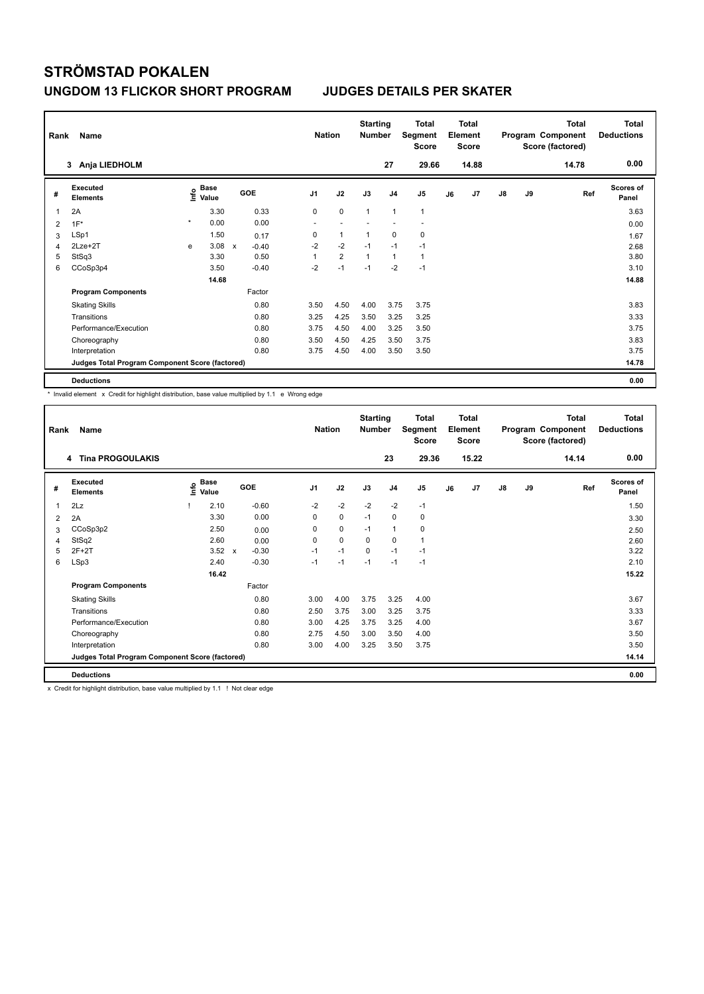| Rank | Name<br>Anja LIEDHOLM<br>3                      |         |                      |              |            |                          | <b>Nation</b>  | <b>Starting</b><br><b>Number</b> |                | Total<br>Segment<br><b>Score</b> |    | <b>Total</b><br>Element<br><b>Score</b> |               |    | <b>Total</b><br>Program Component<br>Score (factored) | <b>Total</b><br><b>Deductions</b> |
|------|-------------------------------------------------|---------|----------------------|--------------|------------|--------------------------|----------------|----------------------------------|----------------|----------------------------------|----|-----------------------------------------|---------------|----|-------------------------------------------------------|-----------------------------------|
|      |                                                 |         |                      |              |            |                          |                |                                  | 27             | 29.66                            |    | 14.88                                   |               |    | 14.78                                                 | 0.00                              |
| #    | Executed<br><b>Elements</b>                     | ١nf٥    | <b>Base</b><br>Value |              | <b>GOE</b> | J <sub>1</sub>           | J2             | J3                               | J <sub>4</sub> | J5                               | J6 | J7                                      | $\mathsf{J}8$ | J9 | Ref                                                   | <b>Scores of</b><br>Panel         |
|      | 2A                                              |         | 3.30                 |              | 0.33       | 0                        | $\mathbf 0$    | 1                                | $\overline{1}$ | $\mathbf{1}$                     |    |                                         |               |    |                                                       | 3.63                              |
| 2    | $1F^*$                                          | $\star$ | 0.00                 |              | 0.00       | $\overline{\phantom{a}}$ |                |                                  |                | ٠                                |    |                                         |               |    |                                                       | 0.00                              |
| 3    | LSp1                                            |         | 1.50                 |              | 0.17       | 0                        | $\mathbf{1}$   | 1                                | $\mathbf 0$    | 0                                |    |                                         |               |    |                                                       | 1.67                              |
| 4    | $2Lze+2T$                                       | e       | 3.08                 | $\mathsf{x}$ | $-0.40$    | $-2$                     | $-2$           | $-1$                             | $-1$           | $-1$                             |    |                                         |               |    |                                                       | 2.68                              |
| 5    | StSq3                                           |         | 3.30                 |              | 0.50       | 1                        | $\overline{2}$ | $\mathbf{1}$                     | $\mathbf{1}$   | $\mathbf{1}$                     |    |                                         |               |    |                                                       | 3.80                              |
| 6    | CCoSp3p4                                        |         | 3.50                 |              | $-0.40$    | $-2$                     | $-1$           | $-1$                             | $-2$           | $-1$                             |    |                                         |               |    |                                                       | 3.10                              |
|      |                                                 |         | 14.68                |              |            |                          |                |                                  |                |                                  |    |                                         |               |    |                                                       | 14.88                             |
|      | <b>Program Components</b>                       |         |                      |              | Factor     |                          |                |                                  |                |                                  |    |                                         |               |    |                                                       |                                   |
|      | <b>Skating Skills</b>                           |         |                      |              | 0.80       | 3.50                     | 4.50           | 4.00                             | 3.75           | 3.75                             |    |                                         |               |    |                                                       | 3.83                              |
|      | Transitions                                     |         |                      |              | 0.80       | 3.25                     | 4.25           | 3.50                             | 3.25           | 3.25                             |    |                                         |               |    |                                                       | 3.33                              |
|      | Performance/Execution                           |         |                      |              | 0.80       | 3.75                     | 4.50           | 4.00                             | 3.25           | 3.50                             |    |                                         |               |    |                                                       | 3.75                              |
|      | Choreography                                    |         |                      |              | 0.80       | 3.50                     | 4.50           | 4.25                             | 3.50           | 3.75                             |    |                                         |               |    |                                                       | 3.83                              |
|      | Interpretation                                  |         |                      |              | 0.80       | 3.75                     | 4.50           | 4.00                             | 3.50           | 3.50                             |    |                                         |               |    |                                                       | 3.75                              |
|      | Judges Total Program Component Score (factored) |         |                      |              |            |                          |                |                                  |                |                                  |    |                                         |               |    |                                                       | 14.78                             |
|      | <b>Deductions</b>                               |         |                      |              |            |                          |                |                                  |                |                                  |    |                                         |               |    |                                                       | 0.00                              |

\* Invalid element x Credit for highlight distribution, base value multiplied by 1.1 e Wrong edge

| Rank | Name<br><b>Tina PROGOULAKIS</b><br>4            |                           |                                      |                | <b>Nation</b> | <b>Starting</b><br><b>Number</b> |                | <b>Total</b><br>Segment<br><b>Score</b> |    | <b>Total</b><br>Element<br><b>Score</b> |               |    | <b>Total</b><br>Program Component<br>Score (factored) | Total<br><b>Deductions</b> |
|------|-------------------------------------------------|---------------------------|--------------------------------------|----------------|---------------|----------------------------------|----------------|-----------------------------------------|----|-----------------------------------------|---------------|----|-------------------------------------------------------|----------------------------|
|      |                                                 |                           |                                      |                |               |                                  | 23             | 29.36                                   |    | 15.22                                   |               |    | 14.14                                                 | 0.00                       |
| #    | Executed<br><b>Elements</b>                     | <b>Base</b><br>۴<br>Value | GOE                                  | J <sub>1</sub> | J2            | J3                               | J <sub>4</sub> | J <sub>5</sub>                          | J6 | J7                                      | $\mathsf{J}8$ | J9 | Ref                                                   | <b>Scores of</b><br>Panel  |
| 1    | 2Lz                                             | 2.10                      | $-0.60$                              | $-2$           | $-2$          | $-2$                             | $-2$           | $-1$                                    |    |                                         |               |    |                                                       | 1.50                       |
| 2    | 2A                                              | 3.30                      | 0.00                                 | 0              | 0             | $-1$                             | 0              | 0                                       |    |                                         |               |    |                                                       | 3.30                       |
| 3    | CCoSp3p2                                        | 2.50                      | 0.00                                 | $\Omega$       | 0             | $-1$                             | $\mathbf{1}$   | 0                                       |    |                                         |               |    |                                                       | 2.50                       |
| 4    | StSq2                                           | 2.60                      | 0.00                                 | 0              | $\Omega$      | $\Omega$                         | $\mathbf 0$    | 1                                       |    |                                         |               |    |                                                       | 2.60                       |
| 5    | $2F+2T$                                         | 3.52                      | $-0.30$<br>$\boldsymbol{\mathsf{x}}$ | $-1$           | $-1$          | $\Omega$                         | $-1$           | $-1$                                    |    |                                         |               |    |                                                       | 3.22                       |
| 6    | LSp3                                            | 2.40                      | $-0.30$                              | $-1$           | $-1$          | $-1$                             | $-1$           | $-1$                                    |    |                                         |               |    |                                                       | 2.10                       |
|      |                                                 | 16.42                     |                                      |                |               |                                  |                |                                         |    |                                         |               |    |                                                       | 15.22                      |
|      | <b>Program Components</b>                       |                           | Factor                               |                |               |                                  |                |                                         |    |                                         |               |    |                                                       |                            |
|      | <b>Skating Skills</b>                           |                           | 0.80                                 | 3.00           | 4.00          | 3.75                             | 3.25           | 4.00                                    |    |                                         |               |    |                                                       | 3.67                       |
|      | Transitions                                     |                           | 0.80                                 | 2.50           | 3.75          | 3.00                             | 3.25           | 3.75                                    |    |                                         |               |    |                                                       | 3.33                       |
|      | Performance/Execution                           |                           | 0.80                                 | 3.00           | 4.25          | 3.75                             | 3.25           | 4.00                                    |    |                                         |               |    |                                                       | 3.67                       |
|      | Choreography                                    |                           | 0.80                                 | 2.75           | 4.50          | 3.00                             | 3.50           | 4.00                                    |    |                                         |               |    |                                                       | 3.50                       |
|      | Interpretation                                  |                           | 0.80                                 | 3.00           | 4.00          | 3.25                             | 3.50           | 3.75                                    |    |                                         |               |    |                                                       | 3.50                       |
|      | Judges Total Program Component Score (factored) |                           |                                      |                |               |                                  |                |                                         |    |                                         |               |    |                                                       | 14.14                      |
|      | <b>Deductions</b>                               |                           |                                      |                |               |                                  |                |                                         |    |                                         |               |    |                                                       | 0.00                       |

x Credit for highlight distribution, base value multiplied by 1.1 ! Not clear edge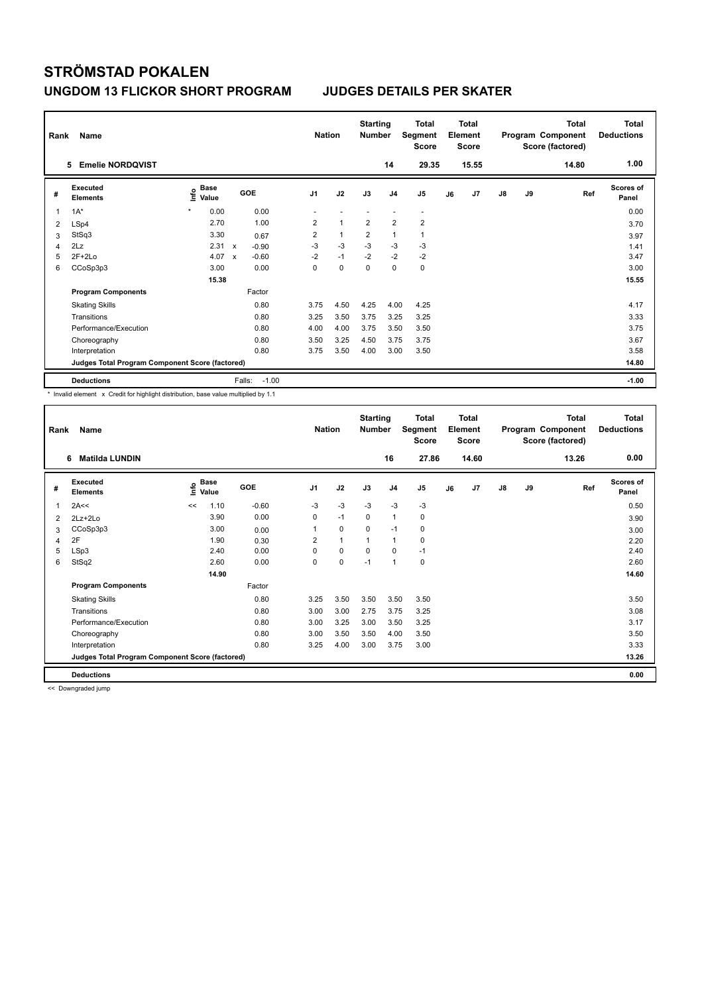| Rank | Name<br><b>Emelie NORDQVIST</b><br>5            |                              |                                      | <b>Nation</b>  |                | <b>Starting</b><br><b>Number</b> | 14             | Total<br>Segment<br><b>Score</b><br>29.35 |    | <b>Total</b><br>Element<br><b>Score</b><br>15.55 |               |    | <b>Total</b><br>Program Component<br>Score (factored)<br>14.80 | Total<br><b>Deductions</b><br>1.00 |
|------|-------------------------------------------------|------------------------------|--------------------------------------|----------------|----------------|----------------------------------|----------------|-------------------------------------------|----|--------------------------------------------------|---------------|----|----------------------------------------------------------------|------------------------------------|
| #    | Executed<br><b>Elements</b>                     | <b>Base</b><br>١nf٥<br>Value | GOE                                  | J <sub>1</sub> | J2             | J3                               | J <sub>4</sub> | J5                                        | J6 | J <sub>7</sub>                                   | $\mathsf{J}8$ | J9 | Ref                                                            | <b>Scores of</b><br>Panel          |
| 1    | $1A^*$                                          | $\star$<br>0.00              | 0.00                                 |                |                |                                  |                | $\overline{\phantom{a}}$                  |    |                                                  |               |    |                                                                | 0.00                               |
| 2    | LSp4                                            | 2.70                         | 1.00                                 | $\overline{2}$ | $\mathbf{1}$   | $\overline{2}$                   | $\overline{2}$ | $\overline{2}$                            |    |                                                  |               |    |                                                                | 3.70                               |
| 3    | StSq3                                           | 3.30                         | 0.67                                 | $\overline{2}$ | $\overline{1}$ | $\overline{2}$                   | $\mathbf{1}$   | 1                                         |    |                                                  |               |    |                                                                | 3.97                               |
| 4    | 2Lz                                             | 2.31                         | $\boldsymbol{\mathsf{x}}$<br>$-0.90$ | $-3$           | $-3$           | $-3$                             | $-3$           | $-3$                                      |    |                                                  |               |    |                                                                | 1.41                               |
| 5    | $2F+2Lo$                                        | 4.07                         | $-0.60$<br>$\boldsymbol{\mathsf{x}}$ | $-2$           | $-1$           | $-2$                             | $-2$           | $-2$                                      |    |                                                  |               |    |                                                                | 3.47                               |
| 6    | CCoSp3p3                                        | 3.00                         | 0.00                                 | 0              | $\mathbf 0$    | $\pmb{0}$                        | $\pmb{0}$      | 0                                         |    |                                                  |               |    |                                                                | 3.00                               |
|      |                                                 | 15.38                        |                                      |                |                |                                  |                |                                           |    |                                                  |               |    |                                                                | 15.55                              |
|      | <b>Program Components</b>                       |                              | Factor                               |                |                |                                  |                |                                           |    |                                                  |               |    |                                                                |                                    |
|      | <b>Skating Skills</b>                           |                              | 0.80                                 | 3.75           | 4.50           | 4.25                             | 4.00           | 4.25                                      |    |                                                  |               |    |                                                                | 4.17                               |
|      | Transitions                                     |                              | 0.80                                 | 3.25           | 3.50           | 3.75                             | 3.25           | 3.25                                      |    |                                                  |               |    |                                                                | 3.33                               |
|      | Performance/Execution                           |                              | 0.80                                 | 4.00           | 4.00           | 3.75                             | 3.50           | 3.50                                      |    |                                                  |               |    |                                                                | 3.75                               |
|      | Choreography                                    |                              | 0.80                                 | 3.50           | 3.25           | 4.50                             | 3.75           | 3.75                                      |    |                                                  |               |    |                                                                | 3.67                               |
|      | Interpretation                                  |                              | 0.80                                 | 3.75           | 3.50           | 4.00                             | 3.00           | 3.50                                      |    |                                                  |               |    |                                                                | 3.58                               |
|      | Judges Total Program Component Score (factored) |                              |                                      |                |                |                                  |                |                                           |    |                                                  |               |    |                                                                | 14.80                              |
|      | <b>Deductions</b>                               |                              | $-1.00$<br>Falls:                    |                |                |                                  |                |                                           |    |                                                  |               |    |                                                                | $-1.00$                            |

\* Invalid element x Credit for highlight distribution, base value multiplied by 1.1

| Rank | Name                                            | <b>Nation</b> |                      | <b>Starting</b><br><b>Number</b> |                | <b>Total</b><br>Segment<br><b>Score</b> |             | <b>Total</b><br>Element<br><b>Score</b> |                |    | <b>Total</b><br>Program Component<br>Score (factored) | Total<br><b>Deductions</b> |    |       |                           |
|------|-------------------------------------------------|---------------|----------------------|----------------------------------|----------------|-----------------------------------------|-------------|-----------------------------------------|----------------|----|-------------------------------------------------------|----------------------------|----|-------|---------------------------|
|      | <b>Matilda LUNDIN</b><br>6                      |               |                      |                                  |                |                                         |             | 16                                      | 27.86          |    | 14.60                                                 |                            |    | 13.26 | 0.00                      |
| #    | Executed<br><b>Elements</b>                     | ۴             | <b>Base</b><br>Value | GOE                              | J <sub>1</sub> | J2                                      | J3          | J <sub>4</sub>                          | J <sub>5</sub> | J6 | J7                                                    | J8                         | J9 | Ref   | <b>Scores of</b><br>Panel |
| 1    | 2A<<                                            | <<            | 1.10                 | $-0.60$                          | $-3$           | $-3$                                    | $-3$        | $-3$                                    | $-3$           |    |                                                       |                            |    |       | 0.50                      |
| 2    | 2Lz+2Lo                                         |               | 3.90                 | 0.00                             | 0              | $-1$                                    | 0           | $\mathbf{1}$                            | 0              |    |                                                       |                            |    |       | 3.90                      |
| 3    | CCoSp3p3                                        |               | 3.00                 | 0.00                             | 1              | 0                                       | $\mathbf 0$ | $-1$                                    | 0              |    |                                                       |                            |    |       | 3.00                      |
| 4    | 2F                                              |               | 1.90                 | 0.30                             | 2              | $\mathbf{1}$                            | 1           | $\mathbf{1}$                            | 0              |    |                                                       |                            |    |       | 2.20                      |
| 5    | LSp3                                            |               | 2.40                 | 0.00                             | $\Omega$       | 0                                       | $\Omega$    | $\mathbf 0$                             | $-1$           |    |                                                       |                            |    |       | 2.40                      |
| 6    | StSq2                                           |               | 2.60                 | 0.00                             | 0              | 0                                       | $-1$        | $\mathbf{1}$                            | 0              |    |                                                       |                            |    |       | 2.60                      |
|      |                                                 |               | 14.90                |                                  |                |                                         |             |                                         |                |    |                                                       |                            |    |       | 14.60                     |
|      | <b>Program Components</b>                       |               |                      | Factor                           |                |                                         |             |                                         |                |    |                                                       |                            |    |       |                           |
|      | <b>Skating Skills</b>                           |               |                      | 0.80                             | 3.25           | 3.50                                    | 3.50        | 3.50                                    | 3.50           |    |                                                       |                            |    |       | 3.50                      |
|      | Transitions                                     |               |                      | 0.80                             | 3.00           | 3.00                                    | 2.75        | 3.75                                    | 3.25           |    |                                                       |                            |    |       | 3.08                      |
|      | Performance/Execution                           |               |                      | 0.80                             | 3.00           | 3.25                                    | 3.00        | 3.50                                    | 3.25           |    |                                                       |                            |    |       | 3.17                      |
|      | Choreography                                    |               |                      | 0.80                             | 3.00           | 3.50                                    | 3.50        | 4.00                                    | 3.50           |    |                                                       |                            |    |       | 3.50                      |
|      | Interpretation                                  |               |                      | 0.80                             | 3.25           | 4.00                                    | 3.00        | 3.75                                    | 3.00           |    |                                                       |                            |    |       | 3.33                      |
|      | Judges Total Program Component Score (factored) |               |                      |                                  |                |                                         |             |                                         |                |    |                                                       |                            |    |       | 13.26                     |
|      | <b>Deductions</b>                               |               |                      |                                  |                |                                         |             |                                         |                |    |                                                       |                            |    |       | 0.00                      |

<< Downgraded jump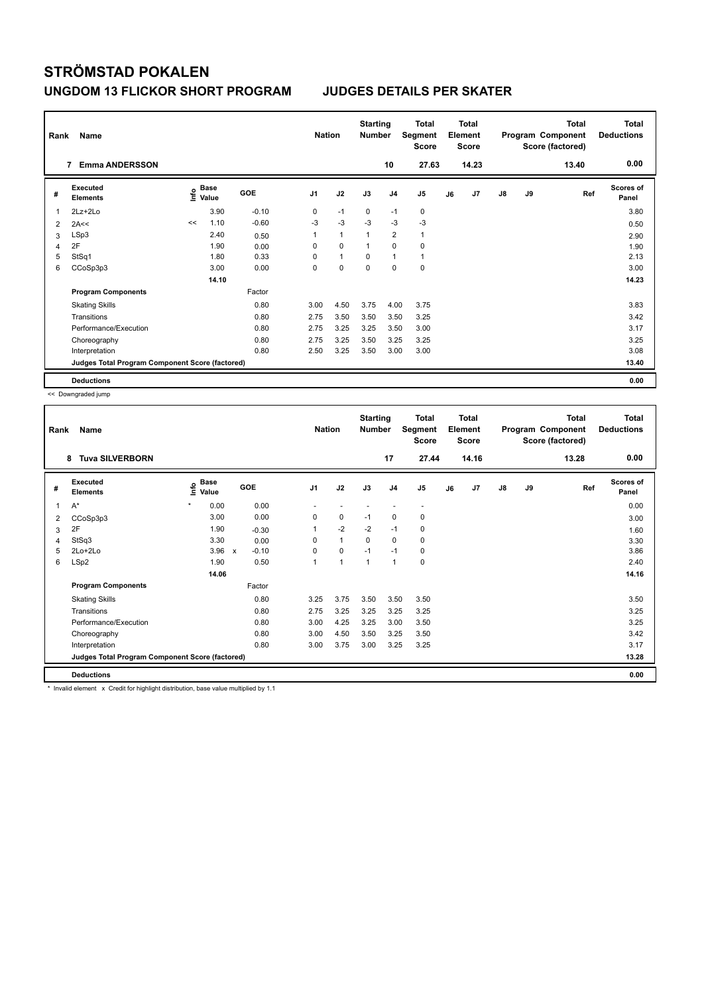| Rank | Name<br><b>Emma ANDERSSON</b><br>7              |      |               |         |                | <b>Nation</b> | <b>Starting</b><br><b>Number</b> |                | Total<br>Segment<br><b>Score</b> |    | <b>Total</b><br>Element<br><b>Score</b> |               |    | <b>Total</b><br>Program Component<br>Score (factored) | <b>Total</b><br><b>Deductions</b> |
|------|-------------------------------------------------|------|---------------|---------|----------------|---------------|----------------------------------|----------------|----------------------------------|----|-----------------------------------------|---------------|----|-------------------------------------------------------|-----------------------------------|
|      |                                                 |      |               |         |                |               |                                  | 10             | 27.63                            |    | 14.23                                   |               |    | 13.40                                                 | 0.00                              |
| #    | Executed<br><b>Elements</b>                     | ١nf٥ | Base<br>Value | GOE     | J <sub>1</sub> | J2            | J3                               | J <sub>4</sub> | J <sub>5</sub>                   | J6 | J7                                      | $\mathsf{J}8$ | J9 | Ref                                                   | Scores of<br>Panel                |
| 1    | $2Lz+2Lo$                                       |      | 3.90          | $-0.10$ | 0              | $-1$          | 0                                | $-1$           | 0                                |    |                                         |               |    |                                                       | 3.80                              |
| 2    | 2A<<                                            | <<   | 1.10          | $-0.60$ | $-3$           | $-3$          | $-3$                             | $-3$           | $-3$                             |    |                                         |               |    |                                                       | 0.50                              |
| 3    | LSp3                                            |      | 2.40          | 0.50    | 1              | $\mathbf{1}$  | $\overline{1}$                   | $\overline{2}$ | $\mathbf{1}$                     |    |                                         |               |    |                                                       | 2.90                              |
| 4    | 2F                                              |      | 1.90          | 0.00    | 0              | $\Omega$      | $\mathbf{1}$                     | $\Omega$       | 0                                |    |                                         |               |    |                                                       | 1.90                              |
| 5    | StSq1                                           |      | 1.80          | 0.33    | 0              | $\mathbf{1}$  | 0                                | $\mathbf{1}$   | $\mathbf{1}$                     |    |                                         |               |    |                                                       | 2.13                              |
| 6    | CCoSp3p3                                        |      | 3.00          | 0.00    | 0              | $\mathbf 0$   | $\Omega$                         | $\Omega$       | $\mathbf 0$                      |    |                                         |               |    |                                                       | 3.00                              |
|      |                                                 |      | 14.10         |         |                |               |                                  |                |                                  |    |                                         |               |    |                                                       | 14.23                             |
|      | <b>Program Components</b>                       |      |               | Factor  |                |               |                                  |                |                                  |    |                                         |               |    |                                                       |                                   |
|      | <b>Skating Skills</b>                           |      |               | 0.80    | 3.00           | 4.50          | 3.75                             | 4.00           | 3.75                             |    |                                         |               |    |                                                       | 3.83                              |
|      | Transitions                                     |      |               | 0.80    | 2.75           | 3.50          | 3.50                             | 3.50           | 3.25                             |    |                                         |               |    |                                                       | 3.42                              |
|      | Performance/Execution                           |      |               | 0.80    | 2.75           | 3.25          | 3.25                             | 3.50           | 3.00                             |    |                                         |               |    |                                                       | 3.17                              |
|      | Choreography                                    |      |               | 0.80    | 2.75           | 3.25          | 3.50                             | 3.25           | 3.25                             |    |                                         |               |    |                                                       | 3.25                              |
|      | Interpretation                                  |      |               | 0.80    | 2.50           | 3.25          | 3.50                             | 3.00           | 3.00                             |    |                                         |               |    |                                                       | 3.08                              |
|      | Judges Total Program Component Score (factored) |      |               |         |                |               |                                  |                |                                  |    |                                         |               |    |                                                       | 13.40                             |
|      | <b>Deductions</b>                               |      |               |         |                |               |                                  |                |                                  |    |                                         |               |    |                                                       | 0.00                              |

<< Downgraded jump

| Rank | Name<br><b>Tuva SILVERBORN</b><br>8             |                           |                         |                | <b>Nation</b> | <b>Starting</b><br><b>Number</b> |                | <b>Total</b><br>Segment<br><b>Score</b> |    | <b>Total</b><br>Element<br><b>Score</b> |               |    | <b>Total</b><br>Program Component<br>Score (factored) | <b>Total</b><br><b>Deductions</b> |
|------|-------------------------------------------------|---------------------------|-------------------------|----------------|---------------|----------------------------------|----------------|-----------------------------------------|----|-----------------------------------------|---------------|----|-------------------------------------------------------|-----------------------------------|
|      |                                                 |                           |                         |                |               |                                  | 17             | 27.44                                   |    | 14.16                                   |               |    | 13.28                                                 | 0.00                              |
| #    | <b>Executed</b><br><b>Elements</b>              | <b>Base</b><br>۴<br>Value | <b>GOE</b>              | J <sub>1</sub> | J2            | J3                               | J <sub>4</sub> | J <sub>5</sub>                          | J6 | J7                                      | $\mathsf{J}8$ | J9 | Ref                                                   | <b>Scores of</b><br>Panel         |
| 1    | $A^*$                                           | $\star$<br>0.00           | 0.00                    |                |               |                                  |                |                                         |    |                                         |               |    |                                                       | 0.00                              |
| 2    | CCoSp3p3                                        | 3.00                      | 0.00                    | 0              | $\mathbf 0$   | $-1$                             | 0              | 0                                       |    |                                         |               |    |                                                       | 3.00                              |
| 3    | 2F                                              | 1.90                      | $-0.30$                 |                | $-2$          | $-2$                             | $-1$           | 0                                       |    |                                         |               |    |                                                       | 1.60                              |
| 4    | StSq3                                           | 3.30                      | 0.00                    | 0              | $\mathbf{1}$  | 0                                | 0              | 0                                       |    |                                         |               |    |                                                       | 3.30                              |
| 5    | 2Lo+2Lo                                         | 3.96                      | $-0.10$<br>$\mathsf{x}$ | $\Omega$       | 0             | $-1$                             | $-1$           | 0                                       |    |                                         |               |    |                                                       | 3.86                              |
| 6    | LSp2                                            | 1.90                      | 0.50                    | 1              | $\mathbf{1}$  | 1                                | $\mathbf{1}$   | 0                                       |    |                                         |               |    |                                                       | 2.40                              |
|      |                                                 | 14.06                     |                         |                |               |                                  |                |                                         |    |                                         |               |    |                                                       | 14.16                             |
|      | <b>Program Components</b>                       |                           | Factor                  |                |               |                                  |                |                                         |    |                                         |               |    |                                                       |                                   |
|      | <b>Skating Skills</b>                           |                           | 0.80                    | 3.25           | 3.75          | 3.50                             | 3.50           | 3.50                                    |    |                                         |               |    |                                                       | 3.50                              |
|      | Transitions                                     |                           | 0.80                    | 2.75           | 3.25          | 3.25                             | 3.25           | 3.25                                    |    |                                         |               |    |                                                       | 3.25                              |
|      | Performance/Execution                           |                           | 0.80                    | 3.00           | 4.25          | 3.25                             | 3.00           | 3.50                                    |    |                                         |               |    |                                                       | 3.25                              |
|      | Choreography                                    |                           | 0.80                    | 3.00           | 4.50          | 3.50                             | 3.25           | 3.50                                    |    |                                         |               |    |                                                       | 3.42                              |
|      | Interpretation                                  |                           | 0.80                    | 3.00           | 3.75          | 3.00                             | 3.25           | 3.25                                    |    |                                         |               |    |                                                       | 3.17                              |
|      | Judges Total Program Component Score (factored) |                           |                         |                |               |                                  |                |                                         |    |                                         |               |    |                                                       | 13.28                             |
|      | <b>Deductions</b>                               |                           |                         |                |               |                                  |                |                                         |    |                                         |               |    |                                                       | 0.00                              |

\* Invalid element x Credit for highlight distribution, base value multiplied by 1.1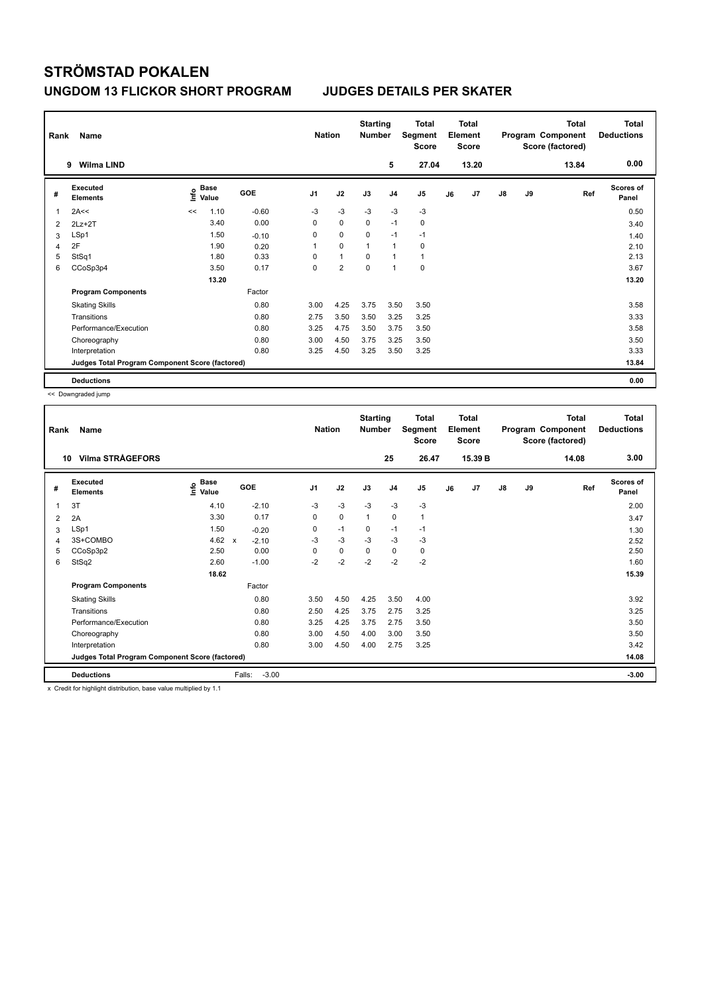| Rank           | Name                                            | <b>Nation</b> |                      | <b>Starting</b><br><b>Number</b> |                | Total<br>Segment<br><b>Score</b> |              | <b>Total</b><br>Element<br><b>Score</b> |                |    | <b>Total</b><br>Program Component<br>Score (factored) | <b>Total</b><br><b>Deductions</b> |    |       |                           |
|----------------|-------------------------------------------------|---------------|----------------------|----------------------------------|----------------|----------------------------------|--------------|-----------------------------------------|----------------|----|-------------------------------------------------------|-----------------------------------|----|-------|---------------------------|
|                | <b>Wilma LIND</b><br>9                          |               |                      |                                  |                |                                  |              | 5                                       | 27.04          |    | 13.20                                                 |                                   |    | 13.84 | 0.00                      |
| #              | Executed<br><b>Elements</b>                     | ١nf٥          | <b>Base</b><br>Value | GOE                              | J <sub>1</sub> | J2                               | J3           | J <sub>4</sub>                          | J <sub>5</sub> | J6 | J7                                                    | $\mathsf{J}8$                     | J9 | Ref   | <b>Scores of</b><br>Panel |
| 1              | 2A<<                                            | <<            | 1.10                 | $-0.60$                          | $-3$           | $-3$                             | $-3$         | $-3$                                    | $-3$           |    |                                                       |                                   |    |       | 0.50                      |
| $\overline{2}$ | $2Lz + 2T$                                      |               | 3.40                 | 0.00                             | 0              | $\mathbf 0$                      | $\mathbf 0$  | $-1$                                    | $\pmb{0}$      |    |                                                       |                                   |    |       | 3.40                      |
| 3              | LSp1                                            |               | 1.50                 | $-0.10$                          | 0              | 0                                | 0            | $-1$                                    | $-1$           |    |                                                       |                                   |    |       | 1.40                      |
| 4              | 2F                                              |               | 1.90                 | 0.20                             | 1              | $\mathbf 0$                      | $\mathbf{1}$ | $\overline{1}$                          | 0              |    |                                                       |                                   |    |       | 2.10                      |
| 5              | StSq1                                           |               | 1.80                 | 0.33                             | 0              | $\mathbf{1}$                     | $\Omega$     | 1                                       | $\mathbf{1}$   |    |                                                       |                                   |    |       | 2.13                      |
| 6              | CCoSp3p4                                        |               | 3.50                 | 0.17                             | 0              | $\overline{2}$                   | $\mathbf 0$  | 1                                       | $\mathbf 0$    |    |                                                       |                                   |    |       | 3.67                      |
|                |                                                 |               | 13.20                |                                  |                |                                  |              |                                         |                |    |                                                       |                                   |    |       | 13.20                     |
|                | <b>Program Components</b>                       |               |                      | Factor                           |                |                                  |              |                                         |                |    |                                                       |                                   |    |       |                           |
|                | <b>Skating Skills</b>                           |               |                      | 0.80                             | 3.00           | 4.25                             | 3.75         | 3.50                                    | 3.50           |    |                                                       |                                   |    |       | 3.58                      |
|                | Transitions                                     |               |                      | 0.80                             | 2.75           | 3.50                             | 3.50         | 3.25                                    | 3.25           |    |                                                       |                                   |    |       | 3.33                      |
|                | Performance/Execution                           |               |                      | 0.80                             | 3.25           | 4.75                             | 3.50         | 3.75                                    | 3.50           |    |                                                       |                                   |    |       | 3.58                      |
|                | Choreography                                    |               |                      | 0.80                             | 3.00           | 4.50                             | 3.75         | 3.25                                    | 3.50           |    |                                                       |                                   |    |       | 3.50                      |
|                | Interpretation                                  |               |                      | 0.80                             | 3.25           | 4.50                             | 3.25         | 3.50                                    | 3.25           |    |                                                       |                                   |    |       | 3.33                      |
|                | Judges Total Program Component Score (factored) |               |                      |                                  |                |                                  |              |                                         |                |    |                                                       |                                   |    |       | 13.84                     |
|                | <b>Deductions</b>                               |               |                      |                                  |                |                                  |              |                                         |                |    |                                                       |                                   |    |       | 0.00                      |

<< Downgraded jump

| Rank | <b>Name</b><br><b>Vilma STRÅGEFORS</b><br>10    |                              |                                      | <b>Nation</b>  |      | <b>Starting</b><br><b>Number</b> |                | <b>Total</b><br>Segment<br><b>Score</b> |    | <b>Total</b><br>Element<br><b>Score</b> |    |    | <b>Total</b><br>Program Component<br>Score (factored) | <b>Total</b><br><b>Deductions</b> |
|------|-------------------------------------------------|------------------------------|--------------------------------------|----------------|------|----------------------------------|----------------|-----------------------------------------|----|-----------------------------------------|----|----|-------------------------------------------------------|-----------------------------------|
|      |                                                 |                              |                                      |                |      |                                  | 25             | 26.47                                   |    | 15.39 B                                 |    |    | 14.08                                                 | 3.00                              |
| #    | Executed<br>Elements                            | <b>Base</b><br>١nfo<br>Value | GOE                                  | J <sub>1</sub> | J2   | J3                               | J <sub>4</sub> | J <sub>5</sub>                          | J6 | J7                                      | J8 | J9 | Ref                                                   | <b>Scores of</b><br>Panel         |
| 1    | 3T                                              | 4.10                         | $-2.10$                              | $-3$           | $-3$ | $-3$                             | $-3$           | $-3$                                    |    |                                         |    |    |                                                       | 2.00                              |
| 2    | 2A                                              | 3.30                         | 0.17                                 | 0              | 0    | $\mathbf{1}$                     | $\mathbf 0$    | $\mathbf{1}$                            |    |                                         |    |    |                                                       | 3.47                              |
| 3    | LSp1                                            | 1.50                         | $-0.20$                              | 0              | $-1$ | $\mathbf 0$                      | $-1$           | $-1$                                    |    |                                         |    |    |                                                       | 1.30                              |
| 4    | 3S+COMBO                                        | 4.62                         | $-2.10$<br>$\boldsymbol{\mathsf{x}}$ | $-3$           | $-3$ | $-3$                             | $-3$           | $-3$                                    |    |                                         |    |    |                                                       | 2.52                              |
| 5    | CCoSp3p2                                        | 2.50                         | 0.00                                 | $\Omega$       | 0    | $\Omega$                         | 0              | 0                                       |    |                                         |    |    |                                                       | 2.50                              |
| 6    | StSq2                                           | 2.60                         | $-1.00$                              | $-2$           | $-2$ | $-2$                             | $-2$           | $-2$                                    |    |                                         |    |    |                                                       | 1.60                              |
|      |                                                 | 18.62                        |                                      |                |      |                                  |                |                                         |    |                                         |    |    |                                                       | 15.39                             |
|      | <b>Program Components</b>                       |                              | Factor                               |                |      |                                  |                |                                         |    |                                         |    |    |                                                       |                                   |
|      | <b>Skating Skills</b>                           |                              | 0.80                                 | 3.50           | 4.50 | 4.25                             | 3.50           | 4.00                                    |    |                                         |    |    |                                                       | 3.92                              |
|      | Transitions                                     |                              | 0.80                                 | 2.50           | 4.25 | 3.75                             | 2.75           | 3.25                                    |    |                                         |    |    |                                                       | 3.25                              |
|      | Performance/Execution                           |                              | 0.80                                 | 3.25           | 4.25 | 3.75                             | 2.75           | 3.50                                    |    |                                         |    |    |                                                       | 3.50                              |
|      | Choreography                                    |                              | 0.80                                 | 3.00           | 4.50 | 4.00                             | 3.00           | 3.50                                    |    |                                         |    |    |                                                       | 3.50                              |
|      | Interpretation                                  |                              | 0.80                                 | 3.00           | 4.50 | 4.00                             | 2.75           | 3.25                                    |    |                                         |    |    |                                                       | 3.42                              |
|      | Judges Total Program Component Score (factored) |                              |                                      |                |      |                                  |                |                                         |    |                                         |    |    |                                                       | 14.08                             |
|      | <b>Deductions</b>                               |                              | $-3.00$<br>Falls:                    |                |      |                                  |                |                                         |    |                                         |    |    |                                                       | $-3.00$                           |

x Credit for highlight distribution, base value multiplied by 1.1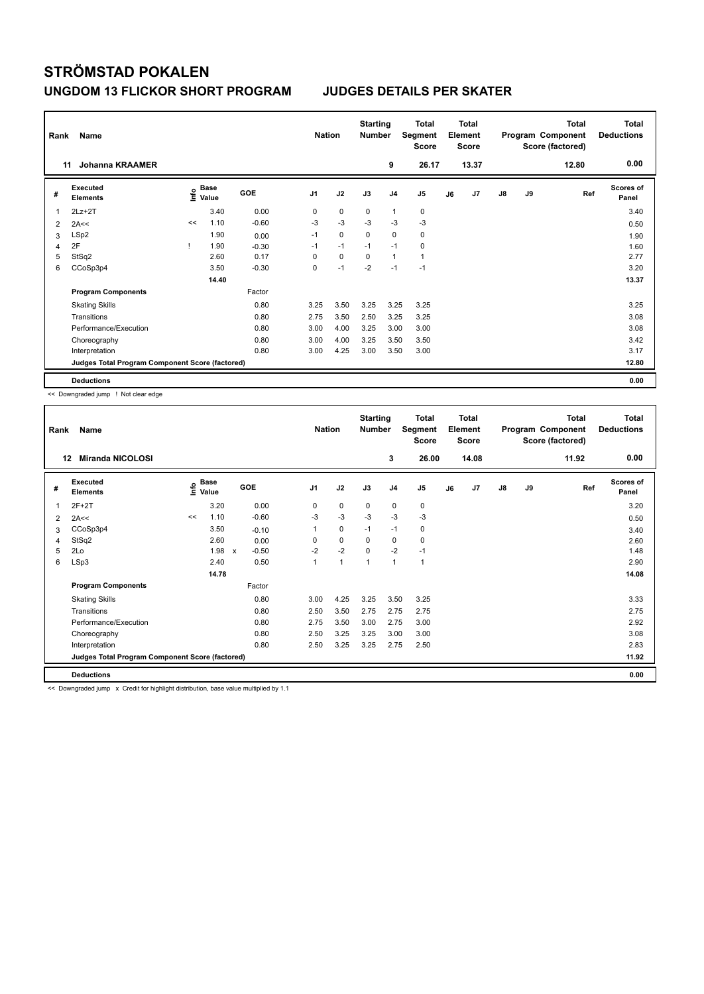| Rank           | Name                                            | <b>Nation</b> |               | <b>Starting</b><br><b>Number</b> |                | <b>Total</b><br>Segment<br><b>Score</b> |             | <b>Total</b><br>Element<br><b>Score</b> |                |    | <b>Total</b><br>Program Component<br>Score (factored) | <b>Total</b><br><b>Deductions</b> |    |       |                    |
|----------------|-------------------------------------------------|---------------|---------------|----------------------------------|----------------|-----------------------------------------|-------------|-----------------------------------------|----------------|----|-------------------------------------------------------|-----------------------------------|----|-------|--------------------|
| 11             | <b>Johanna KRAAMER</b>                          |               |               |                                  |                |                                         |             | 9                                       | 26.17          |    | 13.37                                                 |                                   |    | 12.80 | 0.00               |
| #              | Executed<br><b>Elements</b>                     | ١nf٥          | Base<br>Value | GOE                              | J <sub>1</sub> | J2                                      | J3          | J <sub>4</sub>                          | J <sub>5</sub> | J6 | J7                                                    | $\mathsf{J}8$                     | J9 | Ref   | Scores of<br>Panel |
| 1              | $2Lz+2T$                                        |               | 3.40          | 0.00                             | 0              | $\mathbf 0$                             | $\mathbf 0$ | $\mathbf{1}$                            | 0              |    |                                                       |                                   |    |       | 3.40               |
| 2              | 2A<<                                            | <<            | 1.10          | $-0.60$                          | -3             | $-3$                                    | $-3$        | -3                                      | $-3$           |    |                                                       |                                   |    |       | 0.50               |
| 3              | LSp2                                            |               | 1.90          | 0.00                             | $-1$           | $\mathbf 0$                             | $\mathbf 0$ | $\mathbf 0$                             | 0              |    |                                                       |                                   |    |       | 1.90               |
| $\overline{4}$ | 2F                                              |               | 1.90          | $-0.30$                          | $-1$           | $-1$                                    | $-1$        | $-1$                                    | 0              |    |                                                       |                                   |    |       | 1.60               |
| 5              | StSq2                                           |               | 2.60          | 0.17                             | 0              | $\mathbf 0$                             | $\mathbf 0$ | $\mathbf{1}$                            | $\mathbf{1}$   |    |                                                       |                                   |    |       | 2.77               |
| 6              | CCoSp3p4                                        |               | 3.50          | $-0.30$                          | 0              | $-1$                                    | $-2$        | $-1$                                    | $-1$           |    |                                                       |                                   |    |       | 3.20               |
|                |                                                 |               | 14.40         |                                  |                |                                         |             |                                         |                |    |                                                       |                                   |    |       | 13.37              |
|                | <b>Program Components</b>                       |               |               | Factor                           |                |                                         |             |                                         |                |    |                                                       |                                   |    |       |                    |
|                | <b>Skating Skills</b>                           |               |               | 0.80                             | 3.25           | 3.50                                    | 3.25        | 3.25                                    | 3.25           |    |                                                       |                                   |    |       | 3.25               |
|                | Transitions                                     |               |               | 0.80                             | 2.75           | 3.50                                    | 2.50        | 3.25                                    | 3.25           |    |                                                       |                                   |    |       | 3.08               |
|                | Performance/Execution                           |               |               | 0.80                             | 3.00           | 4.00                                    | 3.25        | 3.00                                    | 3.00           |    |                                                       |                                   |    |       | 3.08               |
|                | Choreography                                    |               |               | 0.80                             | 3.00           | 4.00                                    | 3.25        | 3.50                                    | 3.50           |    |                                                       |                                   |    |       | 3.42               |
|                | Interpretation                                  |               |               | 0.80                             | 3.00           | 4.25                                    | 3.00        | 3.50                                    | 3.00           |    |                                                       |                                   |    |       | 3.17               |
|                | Judges Total Program Component Score (factored) |               |               |                                  |                |                                         |             |                                         |                |    |                                                       |                                   |    |       | 12.80              |
|                | <b>Deductions</b>                               |               |               |                                  |                |                                         |             |                                         |                |    |                                                       |                                   |    |       | 0.00               |

<< Downgraded jump ! Not clear edge

| Rank | Name<br><b>Miranda NICOLOSI</b><br>12           |    |                                  |                                      | <b>Nation</b>  |      | <b>Starting</b><br><b>Number</b> |                | <b>Total</b><br>Segment<br>Score |    | Total<br>Element<br><b>Score</b> |    |    | Total<br>Program Component<br>Score (factored) | <b>Total</b><br><b>Deductions</b> |
|------|-------------------------------------------------|----|----------------------------------|--------------------------------------|----------------|------|----------------------------------|----------------|----------------------------------|----|----------------------------------|----|----|------------------------------------------------|-----------------------------------|
|      |                                                 |    |                                  |                                      |                |      |                                  | 3              | 26.00                            |    | 14.08                            |    |    | 11.92                                          | 0.00                              |
| #    | Executed<br><b>Elements</b>                     |    | <b>Base</b><br>e Base<br>⊆ Value | GOE                                  | J <sub>1</sub> | J2   | J3                               | J <sub>4</sub> | J <sub>5</sub>                   | J6 | J7                               | J8 | J9 | Ref                                            | <b>Scores of</b><br>Panel         |
| 1    | $2F+2T$                                         |    | 3.20                             | 0.00                                 | 0              | 0    | 0                                | 0              | 0                                |    |                                  |    |    |                                                | 3.20                              |
| 2    | 2A<<                                            | << | 1.10                             | $-0.60$                              | $-3$           | $-3$ | $-3$                             | $-3$           | $-3$                             |    |                                  |    |    |                                                | 0.50                              |
| 3    | CCoSp3p4                                        |    | 3.50                             | $-0.10$                              | 1              | 0    | $-1$                             | $-1$           | 0                                |    |                                  |    |    |                                                | 3.40                              |
| 4    | StSq2                                           |    | 2.60                             | 0.00                                 | 0              | 0    | $\mathbf 0$                      | 0              | 0                                |    |                                  |    |    |                                                | 2.60                              |
| 5    | 2Lo                                             |    | 1.98                             | $-0.50$<br>$\boldsymbol{\mathsf{x}}$ | $-2$           | $-2$ | $\Omega$                         | $-2$           | $-1$                             |    |                                  |    |    |                                                | 1.48                              |
| 6    | LSp3                                            |    | 2.40                             | 0.50                                 | 1              | 1    | $\mathbf{1}$                     | $\mathbf{1}$   | $\mathbf{1}$                     |    |                                  |    |    |                                                | 2.90                              |
|      |                                                 |    | 14.78                            |                                      |                |      |                                  |                |                                  |    |                                  |    |    |                                                | 14.08                             |
|      | <b>Program Components</b>                       |    |                                  | Factor                               |                |      |                                  |                |                                  |    |                                  |    |    |                                                |                                   |
|      | <b>Skating Skills</b>                           |    |                                  | 0.80                                 | 3.00           | 4.25 | 3.25                             | 3.50           | 3.25                             |    |                                  |    |    |                                                | 3.33                              |
|      | Transitions                                     |    |                                  | 0.80                                 | 2.50           | 3.50 | 2.75                             | 2.75           | 2.75                             |    |                                  |    |    |                                                | 2.75                              |
|      | Performance/Execution                           |    |                                  | 0.80                                 | 2.75           | 3.50 | 3.00                             | 2.75           | 3.00                             |    |                                  |    |    |                                                | 2.92                              |
|      | Choreography                                    |    |                                  | 0.80                                 | 2.50           | 3.25 | 3.25                             | 3.00           | 3.00                             |    |                                  |    |    |                                                | 3.08                              |
|      | Interpretation                                  |    |                                  | 0.80                                 | 2.50           | 3.25 | 3.25                             | 2.75           | 2.50                             |    |                                  |    |    |                                                | 2.83                              |
|      | Judges Total Program Component Score (factored) |    |                                  |                                      |                |      |                                  |                |                                  |    |                                  |    |    |                                                | 11.92                             |
|      | <b>Deductions</b>                               |    |                                  |                                      |                |      |                                  |                |                                  |    |                                  |    |    |                                                | 0.00                              |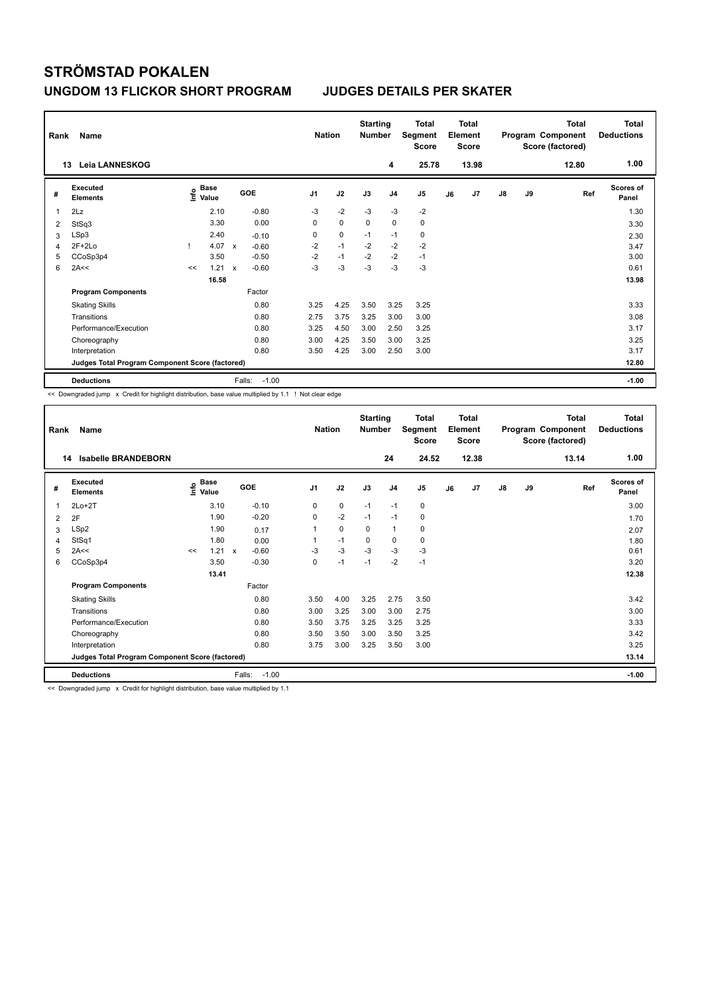| Rank<br>13 | Name<br><b>Leia LANNESKOG</b>                   |    |                                  |              |                   | <b>Nation</b>  |             | <b>Starting</b><br><b>Number</b> | 4              | <b>Total</b><br>Segment<br><b>Score</b><br>25.78 |    | <b>Total</b><br>Element<br>Score<br>13.98 |               |           | <b>Total</b><br>Program Component<br>Score (factored)<br>12.80 | <b>Total</b><br><b>Deductions</b><br>1.00 |
|------------|-------------------------------------------------|----|----------------------------------|--------------|-------------------|----------------|-------------|----------------------------------|----------------|--------------------------------------------------|----|-------------------------------------------|---------------|-----------|----------------------------------------------------------------|-------------------------------------------|
|            |                                                 |    |                                  |              |                   |                |             |                                  |                |                                                  |    |                                           |               |           |                                                                |                                           |
| #          | Executed<br><b>Elements</b>                     |    | <b>Base</b><br>e Base<br>⊆ Value |              | GOE               | J <sub>1</sub> | J2          | J3                               | J <sub>4</sub> | J5                                               | J6 | J7                                        | $\mathsf{J}8$ | <b>J9</b> | Ref                                                            | Scores of<br>Panel                        |
| 1          | 2Lz                                             |    | 2.10                             |              | $-0.80$           | $-3$           | $-2$        | $-3$                             | $-3$           | $-2$                                             |    |                                           |               |           |                                                                | 1.30                                      |
| 2          | StSq3                                           |    | 3.30                             |              | 0.00              | 0              | $\mathbf 0$ | $\mathbf 0$                      | $\mathbf 0$    | $\mathbf 0$                                      |    |                                           |               |           |                                                                | 3.30                                      |
| 3          | LSp3                                            |    | 2.40                             |              | $-0.10$           | 0              | $\mathbf 0$ | $-1$                             | $-1$           | 0                                                |    |                                           |               |           |                                                                | 2.30                                      |
| 4          | $2F+2Lo$                                        |    | 4.07                             | $\mathbf{x}$ | $-0.60$           | $-2$           | $-1$        | $-2$                             | $-2$           | $-2$                                             |    |                                           |               |           |                                                                | 3.47                                      |
| 5          | CCoSp3p4                                        |    | 3.50                             |              | $-0.50$           | $-2$           | $-1$        | $-2$                             | $-2$           | $-1$                                             |    |                                           |               |           |                                                                | 3.00                                      |
| 6          | 2A<<                                            | << | 1.21                             | $\mathsf{x}$ | $-0.60$           | $-3$           | $-3$        | $-3$                             | $-3$           | $-3$                                             |    |                                           |               |           |                                                                | 0.61                                      |
|            |                                                 |    | 16.58                            |              |                   |                |             |                                  |                |                                                  |    |                                           |               |           |                                                                | 13.98                                     |
|            | <b>Program Components</b>                       |    |                                  |              | Factor            |                |             |                                  |                |                                                  |    |                                           |               |           |                                                                |                                           |
|            | <b>Skating Skills</b>                           |    |                                  |              | 0.80              | 3.25           | 4.25        | 3.50                             | 3.25           | 3.25                                             |    |                                           |               |           |                                                                | 3.33                                      |
|            | Transitions                                     |    |                                  |              | 0.80              | 2.75           | 3.75        | 3.25                             | 3.00           | 3.00                                             |    |                                           |               |           |                                                                | 3.08                                      |
|            | Performance/Execution                           |    |                                  |              | 0.80              | 3.25           | 4.50        | 3.00                             | 2.50           | 3.25                                             |    |                                           |               |           |                                                                | 3.17                                      |
|            | Choreography                                    |    |                                  |              | 0.80              | 3.00           | 4.25        | 3.50                             | 3.00           | 3.25                                             |    |                                           |               |           |                                                                | 3.25                                      |
|            | Interpretation                                  |    |                                  |              | 0.80              | 3.50           | 4.25        | 3.00                             | 2.50           | 3.00                                             |    |                                           |               |           |                                                                | 3.17                                      |
|            | Judges Total Program Component Score (factored) |    |                                  |              |                   |                |             |                                  |                |                                                  |    |                                           |               |           |                                                                | 12.80                                     |
|            | <b>Deductions</b>                               |    |                                  |              | $-1.00$<br>Falls: |                |             |                                  |                |                                                  |    |                                           |               |           |                                                                | $-1.00$                                   |

<< Downgraded jump x Credit for highlight distribution, base value multiplied by 1.1 ! Not clear edge

| Rank | Name                                            |    |                                  |              |         | <b>Nation</b>  |      | <b>Starting</b><br><b>Number</b> |                | Total<br>Segment<br><b>Score</b> |    | <b>Total</b><br>Element<br><b>Score</b> |               |    | <b>Total</b><br>Program Component<br>Score (factored) | Total<br><b>Deductions</b><br>1.00 |
|------|-------------------------------------------------|----|----------------------------------|--------------|---------|----------------|------|----------------------------------|----------------|----------------------------------|----|-----------------------------------------|---------------|----|-------------------------------------------------------|------------------------------------|
| 14   | <b>Isabelle BRANDEBORN</b>                      |    |                                  |              |         |                |      |                                  | 24             | 24.52                            |    | 12.38                                   |               |    | 13.14                                                 |                                    |
| #    | Executed<br><b>Elements</b>                     |    | <b>Base</b><br>e Base<br>⊆ Value | GOE          |         | J <sub>1</sub> | J2   | J3                               | J <sub>4</sub> | J <sub>5</sub>                   | J6 | J7                                      | $\mathsf{J}8$ | J9 | Ref                                                   | <b>Scores of</b><br>Panel          |
| 1    | $2Lo+2T$                                        |    | 3.10                             |              | $-0.10$ | 0              | 0    | $-1$                             | $-1$           | 0                                |    |                                         |               |    |                                                       | 3.00                               |
| 2    | 2F                                              |    | 1.90                             |              | $-0.20$ | 0              | $-2$ | $-1$                             | $-1$           | 0                                |    |                                         |               |    |                                                       | 1.70                               |
| 3    | LSp2                                            |    | 1.90                             |              | 0.17    | 1              | 0    | $\Omega$                         | $\mathbf{1}$   | 0                                |    |                                         |               |    |                                                       | 2.07                               |
| 4    | StSq1                                           |    | 1.80                             |              | 0.00    |                | $-1$ | $\mathbf 0$                      | 0              | 0                                |    |                                         |               |    |                                                       | 1.80                               |
| 5    | 2A<<                                            | << | 1.21                             | $\mathbf{x}$ | $-0.60$ | $-3$           | $-3$ | $-3$                             | $-3$           | $-3$                             |    |                                         |               |    |                                                       | 0.61                               |
| 6    | CCoSp3p4                                        |    | 3.50                             |              | $-0.30$ | 0              | $-1$ | $-1$                             | $-2$           | $-1$                             |    |                                         |               |    |                                                       | 3.20                               |
|      |                                                 |    | 13.41                            |              |         |                |      |                                  |                |                                  |    |                                         |               |    |                                                       | 12.38                              |
|      | <b>Program Components</b>                       |    |                                  |              | Factor  |                |      |                                  |                |                                  |    |                                         |               |    |                                                       |                                    |
|      | <b>Skating Skills</b>                           |    |                                  |              | 0.80    | 3.50           | 4.00 | 3.25                             | 2.75           | 3.50                             |    |                                         |               |    |                                                       | 3.42                               |
|      | Transitions                                     |    |                                  |              | 0.80    | 3.00           | 3.25 | 3.00                             | 3.00           | 2.75                             |    |                                         |               |    |                                                       | 3.00                               |
|      | Performance/Execution                           |    |                                  |              | 0.80    | 3.50           | 3.75 | 3.25                             | 3.25           | 3.25                             |    |                                         |               |    |                                                       | 3.33                               |
|      | Choreography                                    |    |                                  |              | 0.80    | 3.50           | 3.50 | 3.00                             | 3.50           | 3.25                             |    |                                         |               |    |                                                       | 3.42                               |
|      | Interpretation                                  |    |                                  |              | 0.80    | 3.75           | 3.00 | 3.25                             | 3.50           | 3.00                             |    |                                         |               |    |                                                       | 3.25                               |
|      | Judges Total Program Component Score (factored) |    |                                  |              |         |                |      |                                  |                |                                  |    |                                         |               |    |                                                       | 13.14                              |
|      | <b>Deductions</b>                               |    |                                  | Falls:       | $-1.00$ |                |      |                                  |                |                                  |    |                                         |               |    |                                                       | $-1.00$                            |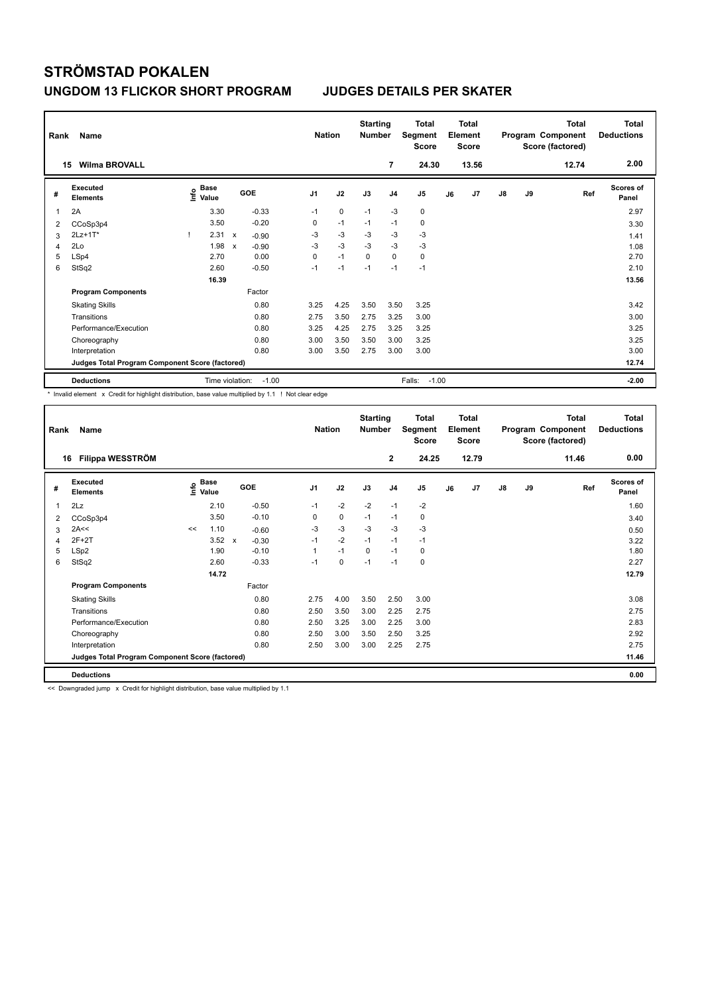| Rank | Name<br><b>Wilma BROVALL</b><br>15              |                                  |                           |         | <b>Nation</b>  |             | <b>Starting</b><br><b>Number</b> | 7              | <b>Total</b><br>Segment<br><b>Score</b><br>24.30 |    | <b>Total</b><br>Element<br><b>Score</b><br>13.56 |               |    | <b>Total</b><br>Program Component<br>Score (factored)<br>12.74 | Total<br><b>Deductions</b><br>2.00 |
|------|-------------------------------------------------|----------------------------------|---------------------------|---------|----------------|-------------|----------------------------------|----------------|--------------------------------------------------|----|--------------------------------------------------|---------------|----|----------------------------------------------------------------|------------------------------------|
| #    | Executed<br><b>Elements</b>                     | <b>Base</b><br>e Base<br>⊆ Value |                           | GOE     | J <sub>1</sub> | J2          | J3                               | J <sub>4</sub> | J5                                               | J6 | J7                                               | $\mathsf{J}8$ | J9 | Ref                                                            | <b>Scores of</b><br>Panel          |
| 1    | 2A                                              | 3.30                             |                           | $-0.33$ | $-1$           | $\mathbf 0$ | $-1$                             | $-3$           | $\mathbf 0$                                      |    |                                                  |               |    |                                                                | 2.97                               |
| 2    | CCoSp3p4                                        | 3.50                             |                           | $-0.20$ | 0              | $-1$        | $-1$                             | $-1$           | 0                                                |    |                                                  |               |    |                                                                | 3.30                               |
| 3    | 2Lz+1T*                                         | 2.31<br>-1                       | $\boldsymbol{\mathsf{x}}$ | $-0.90$ | $-3$           | $-3$        | $-3$                             | $-3$           | $-3$                                             |    |                                                  |               |    |                                                                | 1.41                               |
| 4    | 2Lo                                             | 1.98                             | X                         | $-0.90$ | $-3$           | $-3$        | $-3$                             | $-3$           | $-3$                                             |    |                                                  |               |    |                                                                | 1.08                               |
| 5    | LSp4                                            | 2.70                             |                           | 0.00    | 0              | $-1$        | $\mathbf 0$                      | $\mathbf 0$    | $\pmb{0}$                                        |    |                                                  |               |    |                                                                | 2.70                               |
| 6    | StSq2                                           | 2.60                             |                           | $-0.50$ | $-1$           | $-1$        | $-1$                             | $-1$           | $-1$                                             |    |                                                  |               |    |                                                                | 2.10                               |
|      |                                                 | 16.39                            |                           |         |                |             |                                  |                |                                                  |    |                                                  |               |    |                                                                | 13.56                              |
|      | <b>Program Components</b>                       |                                  |                           | Factor  |                |             |                                  |                |                                                  |    |                                                  |               |    |                                                                |                                    |
|      | <b>Skating Skills</b>                           |                                  |                           | 0.80    | 3.25           | 4.25        | 3.50                             | 3.50           | 3.25                                             |    |                                                  |               |    |                                                                | 3.42                               |
|      | Transitions                                     |                                  |                           | 0.80    | 2.75           | 3.50        | 2.75                             | 3.25           | 3.00                                             |    |                                                  |               |    |                                                                | 3.00                               |
|      | Performance/Execution                           |                                  |                           | 0.80    | 3.25           | 4.25        | 2.75                             | 3.25           | 3.25                                             |    |                                                  |               |    |                                                                | 3.25                               |
|      | Choreography                                    |                                  |                           | 0.80    | 3.00           | 3.50        | 3.50                             | 3.00           | 3.25                                             |    |                                                  |               |    |                                                                | 3.25                               |
|      | Interpretation                                  |                                  |                           | 0.80    | 3.00           | 3.50        | 2.75                             | 3.00           | 3.00                                             |    |                                                  |               |    |                                                                | 3.00                               |
|      | Judges Total Program Component Score (factored) |                                  |                           |         |                |             |                                  |                |                                                  |    |                                                  |               |    |                                                                | 12.74                              |
|      | <b>Deductions</b>                               |                                  | Time violation:           | $-1.00$ |                |             |                                  |                | $-1.00$<br>Falls:                                |    |                                                  |               |    |                                                                | $-2.00$                            |

\* Invalid element x Credit for highlight distribution, base value multiplied by 1.1 ! Not clear edge

| Rank | Name                                            |    |                                  |              |         | <b>Nation</b>  |      | <b>Starting</b><br><b>Number</b> |                | <b>Total</b><br>Segment<br><b>Score</b> |    | <b>Total</b><br>Element<br><b>Score</b> |    |    | <b>Total</b><br>Program Component<br>Score (factored) | <b>Total</b><br><b>Deductions</b> |
|------|-------------------------------------------------|----|----------------------------------|--------------|---------|----------------|------|----------------------------------|----------------|-----------------------------------------|----|-----------------------------------------|----|----|-------------------------------------------------------|-----------------------------------|
| 16   | Filippa WESSTRÖM                                |    |                                  |              |         |                |      |                                  | $\mathbf{2}$   | 24.25                                   |    | 12.79                                   |    |    | 11.46                                                 | 0.00                              |
| #    | <b>Executed</b><br><b>Elements</b>              |    | <b>Base</b><br>e Base<br>⊆ Value | GOE          |         | J <sub>1</sub> | J2   | J3                               | J <sub>4</sub> | J <sub>5</sub>                          | J6 | J <sub>7</sub>                          | J8 | J9 | Ref                                                   | Scores of<br>Panel                |
| 1    | 2Lz                                             |    | 2.10                             |              | $-0.50$ | $-1$           | $-2$ | $-2$                             | $-1$           | $-2$                                    |    |                                         |    |    |                                                       | 1.60                              |
| 2    | CCoSp3p4                                        |    | 3.50                             |              | $-0.10$ | 0              | 0    | $-1$                             | $-1$           | 0                                       |    |                                         |    |    |                                                       | 3.40                              |
| 3    | 2A<<                                            | << | 1.10                             |              | $-0.60$ | $-3$           | $-3$ | $-3$                             | $-3$           | $-3$                                    |    |                                         |    |    |                                                       | 0.50                              |
| 4    | $2F+2T$                                         |    | 3.52                             | $\mathsf{x}$ | $-0.30$ | $-1$           | $-2$ | $-1$                             | $-1$           | $-1$                                    |    |                                         |    |    |                                                       | 3.22                              |
| 5    | LSp2                                            |    | 1.90                             |              | $-0.10$ | 1              | $-1$ | 0                                | $-1$           | 0                                       |    |                                         |    |    |                                                       | 1.80                              |
| 6    | StSq2                                           |    | 2.60                             |              | $-0.33$ | $-1$           | 0    | $-1$                             | $-1$           | 0                                       |    |                                         |    |    |                                                       | 2.27                              |
|      |                                                 |    | 14.72                            |              |         |                |      |                                  |                |                                         |    |                                         |    |    |                                                       | 12.79                             |
|      | <b>Program Components</b>                       |    |                                  |              | Factor  |                |      |                                  |                |                                         |    |                                         |    |    |                                                       |                                   |
|      | <b>Skating Skills</b>                           |    |                                  |              | 0.80    | 2.75           | 4.00 | 3.50                             | 2.50           | 3.00                                    |    |                                         |    |    |                                                       | 3.08                              |
|      | Transitions                                     |    |                                  |              | 0.80    | 2.50           | 3.50 | 3.00                             | 2.25           | 2.75                                    |    |                                         |    |    |                                                       | 2.75                              |
|      | Performance/Execution                           |    |                                  |              | 0.80    | 2.50           | 3.25 | 3.00                             | 2.25           | 3.00                                    |    |                                         |    |    |                                                       | 2.83                              |
|      | Choreography                                    |    |                                  |              | 0.80    | 2.50           | 3.00 | 3.50                             | 2.50           | 3.25                                    |    |                                         |    |    |                                                       | 2.92                              |
|      | Interpretation                                  |    |                                  |              | 0.80    | 2.50           | 3.00 | 3.00                             | 2.25           | 2.75                                    |    |                                         |    |    |                                                       | 2.75                              |
|      | Judges Total Program Component Score (factored) |    |                                  |              |         |                |      |                                  |                |                                         |    |                                         |    |    |                                                       | 11.46                             |
|      | <b>Deductions</b>                               |    |                                  |              |         |                |      |                                  |                |                                         |    |                                         |    |    |                                                       | 0.00                              |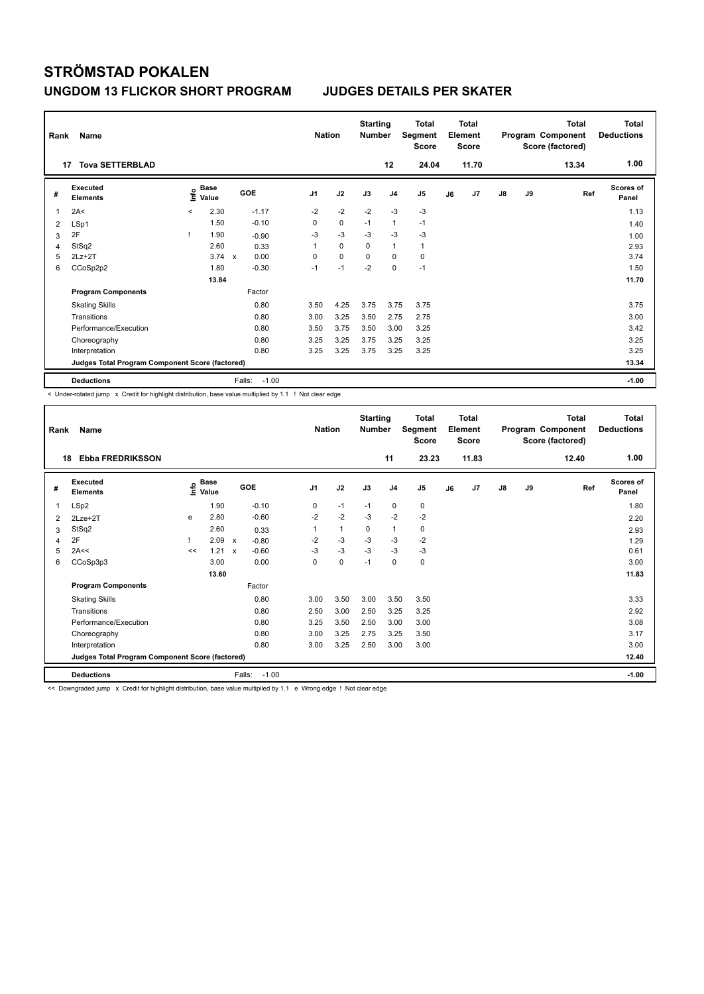| Rank | Name                                            |         |               |                                   | <b>Nation</b>  |             | <b>Starting</b><br><b>Number</b> |                | <b>Total</b><br>Segment<br><b>Score</b> |    | <b>Total</b><br>Element<br><b>Score</b> |               |    | Total<br>Program Component<br>Score (factored) | <b>Total</b><br><b>Deductions</b><br>1.00 |
|------|-------------------------------------------------|---------|---------------|-----------------------------------|----------------|-------------|----------------------------------|----------------|-----------------------------------------|----|-----------------------------------------|---------------|----|------------------------------------------------|-------------------------------------------|
|      | <b>Tova SETTERBLAD</b><br>17                    |         |               |                                   |                |             |                                  | 12             | 24.04                                   |    | 11.70                                   |               |    | 13.34                                          |                                           |
| #    | Executed<br><b>Elements</b>                     | ١nf٥    | Base<br>Value | GOE                               | J <sub>1</sub> | J2          | J3                               | J <sub>4</sub> | J5                                      | J6 | J7                                      | $\mathsf{J}8$ | J9 | Ref                                            | <b>Scores of</b><br>Panel                 |
| 1    | 2A<                                             | $\prec$ | 2.30          | $-1.17$                           | $-2$           | $-2$        | $-2$                             | $-3$           | $-3$                                    |    |                                         |               |    |                                                | 1.13                                      |
| 2    | LSp1                                            |         | 1.50          | $-0.10$                           | 0              | $\mathbf 0$ | $-1$                             | $\mathbf{1}$   | $-1$                                    |    |                                         |               |    |                                                | 1.40                                      |
| 3    | 2F                                              |         | 1.90          | $-0.90$                           | -3             | $-3$        | -3                               | $-3$           | $-3$                                    |    |                                         |               |    |                                                | 1.00                                      |
| 4    | StSq2                                           |         | 2.60          | 0.33                              | 1              | $\mathbf 0$ | $\Omega$                         | $\mathbf{1}$   | $\mathbf{1}$                            |    |                                         |               |    |                                                | 2.93                                      |
| 5    | $2Lz+2T$                                        |         | 3.74          | 0.00<br>$\boldsymbol{\mathsf{x}}$ | 0              | $\mathbf 0$ | $\Omega$                         | 0              | 0                                       |    |                                         |               |    |                                                | 3.74                                      |
| 6    | CCoSp2p2                                        |         | 1.80          | $-0.30$                           | $-1$           | $-1$        | $-2$                             | $\mathbf 0$    | $-1$                                    |    |                                         |               |    |                                                | 1.50                                      |
|      |                                                 |         | 13.84         |                                   |                |             |                                  |                |                                         |    |                                         |               |    |                                                | 11.70                                     |
|      | <b>Program Components</b>                       |         |               | Factor                            |                |             |                                  |                |                                         |    |                                         |               |    |                                                |                                           |
|      | <b>Skating Skills</b>                           |         |               | 0.80                              | 3.50           | 4.25        | 3.75                             | 3.75           | 3.75                                    |    |                                         |               |    |                                                | 3.75                                      |
|      | Transitions                                     |         |               | 0.80                              | 3.00           | 3.25        | 3.50                             | 2.75           | 2.75                                    |    |                                         |               |    |                                                | 3.00                                      |
|      | Performance/Execution                           |         |               | 0.80                              | 3.50           | 3.75        | 3.50                             | 3.00           | 3.25                                    |    |                                         |               |    |                                                | 3.42                                      |
|      | Choreography                                    |         |               | 0.80                              | 3.25           | 3.25        | 3.75                             | 3.25           | 3.25                                    |    |                                         |               |    |                                                | 3.25                                      |
|      | Interpretation                                  |         |               | 0.80                              | 3.25           | 3.25        | 3.75                             | 3.25           | 3.25                                    |    |                                         |               |    |                                                | 3.25                                      |
|      | Judges Total Program Component Score (factored) |         |               |                                   |                |             |                                  |                |                                         |    |                                         |               |    |                                                | 13.34                                     |
|      | <b>Deductions</b>                               |         |               | $-1.00$<br>Falls:                 |                |             |                                  |                |                                         |    |                                         |               |    |                                                | $-1.00$                                   |

< Under-rotated jump x Credit for highlight distribution, base value multiplied by 1.1 ! Not clear edge

| Rank | Name                                            |      |                      |                           |         | <b>Nation</b>  |      | <b>Starting</b><br><b>Number</b> |                | <b>Total</b><br>Segment<br><b>Score</b> |    | <b>Total</b><br>Element<br><b>Score</b> |    |    | <b>Total</b><br>Program Component<br>Score (factored) | Total<br><b>Deductions</b> |
|------|-------------------------------------------------|------|----------------------|---------------------------|---------|----------------|------|----------------------------------|----------------|-----------------------------------------|----|-----------------------------------------|----|----|-------------------------------------------------------|----------------------------|
| 18   | <b>Ebba FREDRIKSSON</b>                         |      |                      |                           |         |                |      |                                  | 11             | 23.23                                   |    | 11.83                                   |    |    | 12.40                                                 | 1.00                       |
| #    | Executed<br><b>Elements</b>                     | lnfo | <b>Base</b><br>Value | <b>GOE</b>                |         | J <sub>1</sub> | J2   | J3                               | J <sub>4</sub> | J <sub>5</sub>                          | J6 | J7                                      | J8 | J9 | Ref                                                   | <b>Scores of</b><br>Panel  |
| 1    | LSp2                                            |      | 1.90                 |                           | $-0.10$ | 0              | $-1$ | $-1$                             | $\mathbf 0$    | 0                                       |    |                                         |    |    |                                                       | 1.80                       |
| 2    | $2Lze+2T$                                       | e    | 2.80                 |                           | $-0.60$ | $-2$           | $-2$ | $-3$                             | $-2$           | $-2$                                    |    |                                         |    |    |                                                       | 2.20                       |
| 3    | StSq2                                           |      | 2.60                 |                           | 0.33    | 1              | 1    | 0                                | $\mathbf{1}$   | 0                                       |    |                                         |    |    |                                                       | 2.93                       |
| 4    | 2F                                              |      | 2.09                 | $\boldsymbol{\mathsf{x}}$ | $-0.80$ | $-2$           | $-3$ | $-3$                             | $-3$           | $-2$                                    |    |                                         |    |    |                                                       | 1.29                       |
| 5    | 2A<<                                            | <<   | 1.21                 | $\boldsymbol{\mathsf{x}}$ | $-0.60$ | $-3$           | $-3$ | $-3$                             | $-3$           | $-3$                                    |    |                                         |    |    |                                                       | 0.61                       |
| 6    | CCoSp3p3                                        |      | 3.00                 |                           | 0.00    | 0              | 0    | $-1$                             | $\mathbf 0$    | 0                                       |    |                                         |    |    |                                                       | 3.00                       |
|      |                                                 |      | 13.60                |                           |         |                |      |                                  |                |                                         |    |                                         |    |    |                                                       | 11.83                      |
|      | <b>Program Components</b>                       |      |                      |                           | Factor  |                |      |                                  |                |                                         |    |                                         |    |    |                                                       |                            |
|      | <b>Skating Skills</b>                           |      |                      |                           | 0.80    | 3.00           | 3.50 | 3.00                             | 3.50           | 3.50                                    |    |                                         |    |    |                                                       | 3.33                       |
|      | Transitions                                     |      |                      |                           | 0.80    | 2.50           | 3.00 | 2.50                             | 3.25           | 3.25                                    |    |                                         |    |    |                                                       | 2.92                       |
|      | Performance/Execution                           |      |                      |                           | 0.80    | 3.25           | 3.50 | 2.50                             | 3.00           | 3.00                                    |    |                                         |    |    |                                                       | 3.08                       |
|      | Choreography                                    |      |                      |                           | 0.80    | 3.00           | 3.25 | 2.75                             | 3.25           | 3.50                                    |    |                                         |    |    |                                                       | 3.17                       |
|      | Interpretation                                  |      |                      |                           | 0.80    | 3.00           | 3.25 | 2.50                             | 3.00           | 3.00                                    |    |                                         |    |    |                                                       | 3.00                       |
|      | Judges Total Program Component Score (factored) |      |                      |                           |         |                |      |                                  |                |                                         |    |                                         |    |    |                                                       | 12.40                      |
|      | <b>Deductions</b>                               |      |                      | Falls:                    | $-1.00$ |                |      |                                  |                |                                         |    |                                         |    |    |                                                       | $-1.00$                    |

<< Downgraded jump x Credit for highlight distribution, base value multiplied by 1.1 e Wrong edge ! Not clear edge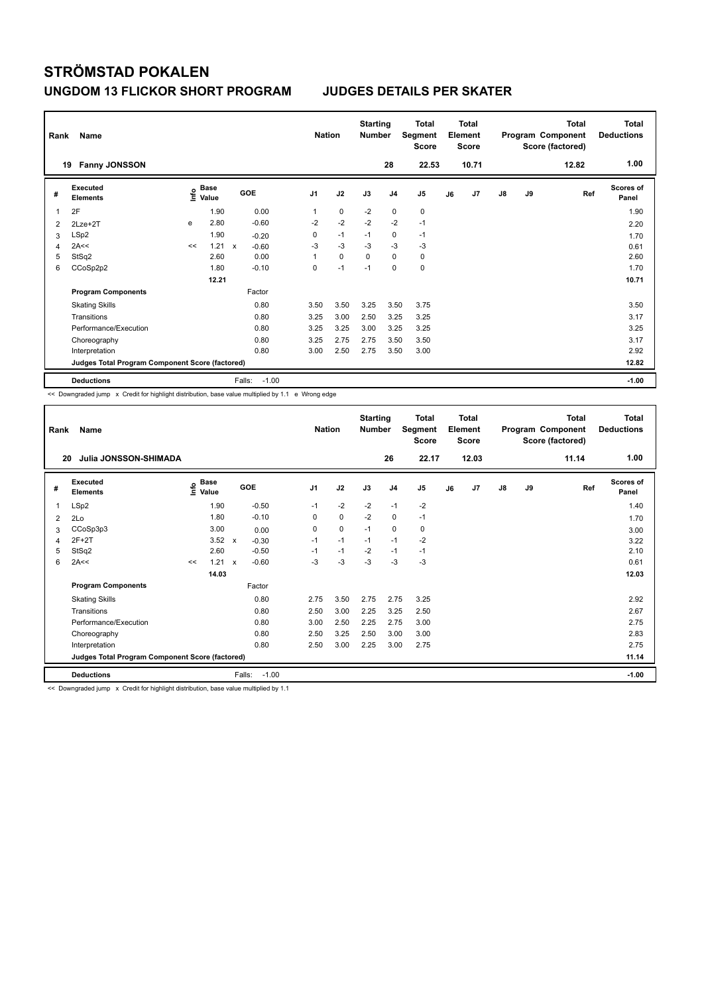| Rank<br>19 | <b>Name</b><br><b>Fanny JONSSON</b>             |      |                      |                           |         | <b>Nation</b>  |             | <b>Starting</b><br><b>Number</b> | 28             | <b>Total</b><br>Segment<br><b>Score</b><br>22.53 |    | <b>Total</b><br>Element<br>Score<br>10.71 |               |    | <b>Total</b><br>Program Component<br>Score (factored)<br>12.82 | Total<br><b>Deductions</b><br>1.00 |
|------------|-------------------------------------------------|------|----------------------|---------------------------|---------|----------------|-------------|----------------------------------|----------------|--------------------------------------------------|----|-------------------------------------------|---------------|----|----------------------------------------------------------------|------------------------------------|
| #          | Executed<br><b>Elements</b>                     | Info | <b>Base</b><br>Value | GOE                       |         | J <sub>1</sub> | J2          | J3                               | J <sub>4</sub> | J5                                               | J6 | J7                                        | $\mathsf{J}8$ | J9 | Ref                                                            | <b>Scores of</b><br>Panel          |
| -1         | 2F                                              |      | 1.90                 |                           | 0.00    | 1              | $\mathbf 0$ | $-2$                             | $\mathbf 0$    | 0                                                |    |                                           |               |    |                                                                | 1.90                               |
| 2          | $2$ Lze $+2$ T                                  | e    | 2.80                 |                           | $-0.60$ | $-2$           | $-2$        | $-2$                             | $-2$           | $-1$                                             |    |                                           |               |    |                                                                | 2.20                               |
| 3          | LSp2                                            |      | 1.90                 |                           | $-0.20$ | 0              | $-1$        | $-1$                             | $\mathbf 0$    | $-1$                                             |    |                                           |               |    |                                                                | 1.70                               |
| 4          | 2A<<                                            | <<   | 1.21                 | $\boldsymbol{\mathsf{x}}$ | $-0.60$ | -3             | $-3$        | $-3$                             | $-3$           | $-3$                                             |    |                                           |               |    |                                                                | 0.61                               |
| 5          | StSq2                                           |      | 2.60                 |                           | 0.00    |                | $\mathbf 0$ | $\Omega$                         | $\Omega$       | 0                                                |    |                                           |               |    |                                                                | 2.60                               |
| 6          | CCoSp2p2                                        |      | 1.80                 |                           | $-0.10$ | 0              | $-1$        | $-1$                             | $\mathbf 0$    | $\mathbf 0$                                      |    |                                           |               |    |                                                                | 1.70                               |
|            |                                                 |      | 12.21                |                           |         |                |             |                                  |                |                                                  |    |                                           |               |    |                                                                | 10.71                              |
|            | <b>Program Components</b>                       |      |                      |                           | Factor  |                |             |                                  |                |                                                  |    |                                           |               |    |                                                                |                                    |
|            | <b>Skating Skills</b>                           |      |                      |                           | 0.80    | 3.50           | 3.50        | 3.25                             | 3.50           | 3.75                                             |    |                                           |               |    |                                                                | 3.50                               |
|            | Transitions                                     |      |                      |                           | 0.80    | 3.25           | 3.00        | 2.50                             | 3.25           | 3.25                                             |    |                                           |               |    |                                                                | 3.17                               |
|            | Performance/Execution                           |      |                      |                           | 0.80    | 3.25           | 3.25        | 3.00                             | 3.25           | 3.25                                             |    |                                           |               |    |                                                                | 3.25                               |
|            | Choreography                                    |      |                      |                           | 0.80    | 3.25           | 2.75        | 2.75                             | 3.50           | 3.50                                             |    |                                           |               |    |                                                                | 3.17                               |
|            | Interpretation                                  |      |                      |                           | 0.80    | 3.00           | 2.50        | 2.75                             | 3.50           | 3.00                                             |    |                                           |               |    |                                                                | 2.92                               |
|            | Judges Total Program Component Score (factored) |      |                      |                           |         |                |             |                                  |                |                                                  |    |                                           |               |    |                                                                | 12.82                              |
|            | <b>Deductions</b>                               |      |                      | Falls:                    | $-1.00$ |                |             |                                  |                |                                                  |    |                                           |               |    |                                                                | $-1.00$                            |

<< Downgraded jump x Credit for highlight distribution, base value multiplied by 1.1 e Wrong edge

| Rank | Name                                            |      |                      |                           |                   | <b>Nation</b>  |      | <b>Starting</b><br><b>Number</b> |                | <b>Total</b><br>Segment<br><b>Score</b> |    | <b>Total</b><br>Element<br><b>Score</b> |    |    | <b>Total</b><br>Program Component<br>Score (factored) | Total<br><b>Deductions</b> |
|------|-------------------------------------------------|------|----------------------|---------------------------|-------------------|----------------|------|----------------------------------|----------------|-----------------------------------------|----|-----------------------------------------|----|----|-------------------------------------------------------|----------------------------|
| 20   | Julia JONSSON-SHIMADA                           |      |                      |                           |                   |                |      |                                  | 26             | 22.17                                   |    | 12.03                                   |    |    | 11.14                                                 | 1.00                       |
| #    | Executed<br><b>Elements</b>                     | ١nfo | <b>Base</b><br>Value |                           | <b>GOE</b>        | J <sub>1</sub> | J2   | J3                               | J <sub>4</sub> | J <sub>5</sub>                          | J6 | J7                                      | J8 | J9 | Ref                                                   | <b>Scores of</b><br>Panel  |
| 1    | LSp2                                            |      | 1.90                 |                           | $-0.50$           | $-1$           | $-2$ | $-2$                             | $-1$           | $-2$                                    |    |                                         |    |    |                                                       | 1.40                       |
| 2    | 2Lo                                             |      | 1.80                 |                           | $-0.10$           | 0              | 0    | $-2$                             | 0              | $-1$                                    |    |                                         |    |    |                                                       | 1.70                       |
| 3    | CCoSp3p3                                        |      | 3.00                 |                           | 0.00              | 0              | 0    | $-1$                             | $\mathbf 0$    | 0                                       |    |                                         |    |    |                                                       | 3.00                       |
| 4    | $2F+2T$                                         |      | 3.52                 | $\boldsymbol{\mathsf{x}}$ | $-0.30$           | $-1$           | $-1$ | $-1$                             | $-1$           | $-2$                                    |    |                                         |    |    |                                                       | 3.22                       |
| 5    | StSq2                                           |      | 2.60                 |                           | $-0.50$           | $-1$           | $-1$ | $-2$                             | $-1$           | $-1$                                    |    |                                         |    |    |                                                       | 2.10                       |
| 6    | 2A<<                                            | <<   | $1.21 \times$        |                           | $-0.60$           | $-3$           | $-3$ | $-3$                             | $-3$           | $-3$                                    |    |                                         |    |    |                                                       | 0.61                       |
|      |                                                 |      | 14.03                |                           |                   |                |      |                                  |                |                                         |    |                                         |    |    |                                                       | 12.03                      |
|      | <b>Program Components</b>                       |      |                      |                           | Factor            |                |      |                                  |                |                                         |    |                                         |    |    |                                                       |                            |
|      | <b>Skating Skills</b>                           |      |                      |                           | 0.80              | 2.75           | 3.50 | 2.75                             | 2.75           | 3.25                                    |    |                                         |    |    |                                                       | 2.92                       |
|      | Transitions                                     |      |                      |                           | 0.80              | 2.50           | 3.00 | 2.25                             | 3.25           | 2.50                                    |    |                                         |    |    |                                                       | 2.67                       |
|      | Performance/Execution                           |      |                      |                           | 0.80              | 3.00           | 2.50 | 2.25                             | 2.75           | 3.00                                    |    |                                         |    |    |                                                       | 2.75                       |
|      | Choreography                                    |      |                      |                           | 0.80              | 2.50           | 3.25 | 2.50                             | 3.00           | 3.00                                    |    |                                         |    |    |                                                       | 2.83                       |
|      | Interpretation                                  |      |                      |                           | 0.80              | 2.50           | 3.00 | 2.25                             | 3.00           | 2.75                                    |    |                                         |    |    |                                                       | 2.75                       |
|      | Judges Total Program Component Score (factored) |      |                      |                           |                   |                |      |                                  |                |                                         |    |                                         |    |    |                                                       | 11.14                      |
|      | <b>Deductions</b>                               |      |                      |                           | Falls:<br>$-1.00$ |                |      |                                  |                |                                         |    |                                         |    |    |                                                       | $-1.00$                    |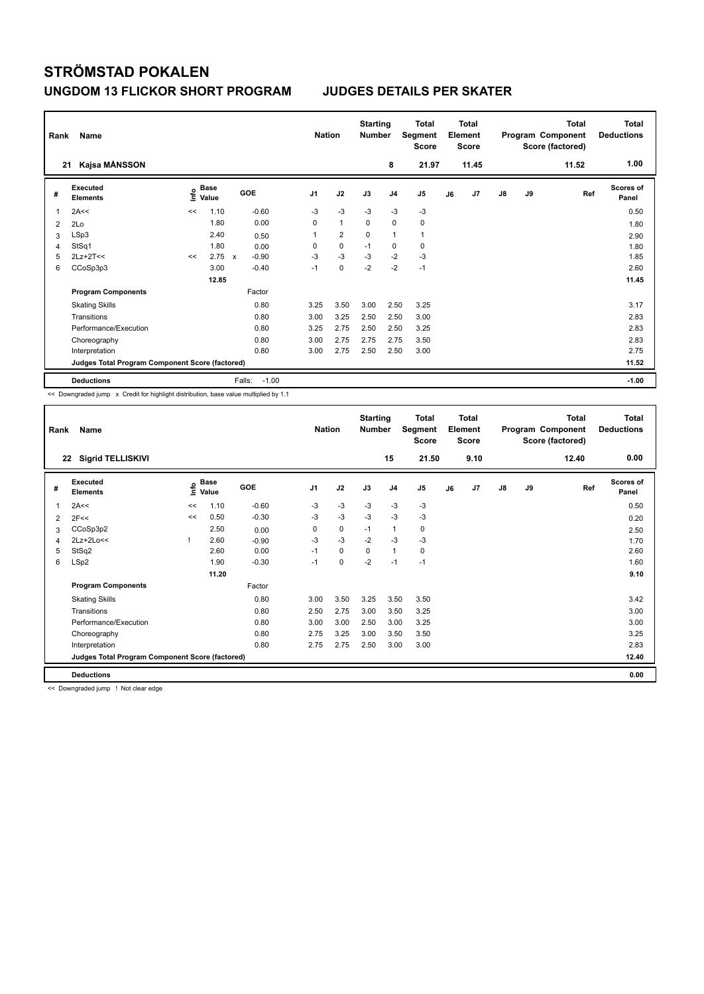| Rank<br>21 | Name<br>Kajsa MÅNSSON                           |      |                      |                         |                | <b>Nation</b>  | <b>Starting</b><br><b>Number</b> | 8              | <b>Total</b><br>Segment<br><b>Score</b><br>21.97 |    | <b>Total</b><br>Element<br><b>Score</b><br>11.45 |               |    | <b>Total</b><br>Program Component<br>Score (factored)<br>11.52 | Total<br><b>Deductions</b><br>1.00 |
|------------|-------------------------------------------------|------|----------------------|-------------------------|----------------|----------------|----------------------------------|----------------|--------------------------------------------------|----|--------------------------------------------------|---------------|----|----------------------------------------------------------------|------------------------------------|
|            |                                                 |      |                      |                         |                |                |                                  |                |                                                  |    |                                                  |               |    |                                                                |                                    |
| #          | Executed<br><b>Elements</b>                     | lnfo | <b>Base</b><br>Value | GOE                     | J <sub>1</sub> | J2             | J3                               | J <sub>4</sub> | J5                                               | J6 | J7                                               | $\mathsf{J}8$ | J9 | Ref                                                            | <b>Scores of</b><br>Panel          |
| 1          | 2A<<                                            | <<   | 1.10                 | $-0.60$                 | $-3$           | $-3$           | $-3$                             | $-3$           | $-3$                                             |    |                                                  |               |    |                                                                | 0.50                               |
| 2          | 2Lo                                             |      | 1.80                 | 0.00                    | 0              | $\mathbf{1}$   | $\mathbf 0$                      | $\mathbf 0$    | $\mathbf 0$                                      |    |                                                  |               |    |                                                                | 1.80                               |
| 3          | LSp3                                            |      | 2.40                 | 0.50                    | 1              | $\overline{2}$ | 0                                | $\mathbf{1}$   | $\mathbf{1}$                                     |    |                                                  |               |    |                                                                | 2.90                               |
| 4          | StSq1                                           |      | 1.80                 | 0.00                    | 0              | $\mathbf 0$    | $-1$                             | $\mathbf 0$    | $\mathbf 0$                                      |    |                                                  |               |    |                                                                | 1.80                               |
| 5          | $2Lz+2T<<$                                      | <<   | 2.75                 | $-0.90$<br>$\mathbf{x}$ | $-3$           | $-3$           | $-3$                             | $-2$           | $-3$                                             |    |                                                  |               |    |                                                                | 1.85                               |
| 6          | CCoSp3p3                                        |      | 3.00                 | $-0.40$                 | $-1$           | $\mathbf 0$    | $-2$                             | $-2$           | $-1$                                             |    |                                                  |               |    |                                                                | 2.60                               |
|            |                                                 |      | 12.85                |                         |                |                |                                  |                |                                                  |    |                                                  |               |    |                                                                | 11.45                              |
|            | <b>Program Components</b>                       |      |                      | Factor                  |                |                |                                  |                |                                                  |    |                                                  |               |    |                                                                |                                    |
|            | <b>Skating Skills</b>                           |      |                      | 0.80                    | 3.25           | 3.50           | 3.00                             | 2.50           | 3.25                                             |    |                                                  |               |    |                                                                | 3.17                               |
|            | Transitions                                     |      |                      | 0.80                    | 3.00           | 3.25           | 2.50                             | 2.50           | 3.00                                             |    |                                                  |               |    |                                                                | 2.83                               |
|            | Performance/Execution                           |      |                      | 0.80                    | 3.25           | 2.75           | 2.50                             | 2.50           | 3.25                                             |    |                                                  |               |    |                                                                | 2.83                               |
|            | Choreography                                    |      |                      | 0.80                    | 3.00           | 2.75           | 2.75                             | 2.75           | 3.50                                             |    |                                                  |               |    |                                                                | 2.83                               |
|            | Interpretation                                  |      |                      | 0.80                    | 3.00           | 2.75           | 2.50                             | 2.50           | 3.00                                             |    |                                                  |               |    |                                                                | 2.75                               |
|            | Judges Total Program Component Score (factored) |      |                      |                         |                |                |                                  |                |                                                  |    |                                                  |               |    |                                                                | 11.52                              |
|            | <b>Deductions</b>                               |      |                      | $-1.00$<br>Falls:       |                |                |                                  |                |                                                  |    |                                                  |               |    |                                                                | $-1.00$                            |

<< Downgraded jump x Credit for highlight distribution, base value multiplied by 1.1

| Rank           | Name                                            |    |                      |         | <b>Nation</b>  |      | <b>Starting</b><br><b>Number</b> |              | <b>Total</b><br>Segment<br>Score |    | Total<br>Element<br>Score |    |    | <b>Total</b><br>Program Component<br>Score (factored) | Total<br><b>Deductions</b> |
|----------------|-------------------------------------------------|----|----------------------|---------|----------------|------|----------------------------------|--------------|----------------------------------|----|---------------------------|----|----|-------------------------------------------------------|----------------------------|
| 22             | <b>Sigrid TELLISKIVI</b>                        |    |                      |         |                |      |                                  | 15           | 21.50                            |    | 9.10                      |    |    | 12.40                                                 | 0.00                       |
| #              | Executed<br><b>Elements</b>                     | ۴  | <b>Base</b><br>Value | GOE     | J <sub>1</sub> | J2   | J3                               | J4           | J <sub>5</sub>                   | J6 | J7                        | J8 | J9 | Ref                                                   | <b>Scores of</b><br>Panel  |
| 1              | 2A<<                                            | << | 1.10                 | $-0.60$ | $-3$           | $-3$ | $-3$                             | $-3$         | $-3$                             |    |                           |    |    |                                                       | 0.50                       |
| $\overline{2}$ | 2F<<                                            | << | 0.50                 | $-0.30$ | $-3$           | $-3$ | $-3$                             | $-3$         | $-3$                             |    |                           |    |    |                                                       | 0.20                       |
| 3              | CCoSp3p2                                        |    | 2.50                 | 0.00    | 0              | 0    | $-1$                             | 1            | 0                                |    |                           |    |    |                                                       | 2.50                       |
| 4              | 2Lz+2Lo<<                                       |    | 2.60                 | $-0.90$ | $-3$           | $-3$ | $-2$                             | $-3$         | $-3$                             |    |                           |    |    |                                                       | 1.70                       |
| 5              | StSq2                                           |    | 2.60                 | 0.00    | $-1$           | 0    | 0                                | $\mathbf{1}$ | 0                                |    |                           |    |    |                                                       | 2.60                       |
| 6              | LSp2                                            |    | 1.90                 | $-0.30$ | $-1$           | 0    | $-2$                             | $-1$         | $-1$                             |    |                           |    |    |                                                       | 1.60                       |
|                |                                                 |    | 11.20                |         |                |      |                                  |              |                                  |    |                           |    |    |                                                       | 9.10                       |
|                | <b>Program Components</b>                       |    |                      | Factor  |                |      |                                  |              |                                  |    |                           |    |    |                                                       |                            |
|                | <b>Skating Skills</b>                           |    |                      | 0.80    | 3.00           | 3.50 | 3.25                             | 3.50         | 3.50                             |    |                           |    |    |                                                       | 3.42                       |
|                | Transitions                                     |    |                      | 0.80    | 2.50           | 2.75 | 3.00                             | 3.50         | 3.25                             |    |                           |    |    |                                                       | 3.00                       |
|                | Performance/Execution                           |    |                      | 0.80    | 3.00           | 3.00 | 2.50                             | 3.00         | 3.25                             |    |                           |    |    |                                                       | 3.00                       |
|                | Choreography                                    |    |                      | 0.80    | 2.75           | 3.25 | 3.00                             | 3.50         | 3.50                             |    |                           |    |    |                                                       | 3.25                       |
|                | Interpretation                                  |    |                      | 0.80    | 2.75           | 2.75 | 2.50                             | 3.00         | 3.00                             |    |                           |    |    |                                                       | 2.83                       |
|                | Judges Total Program Component Score (factored) |    |                      |         |                |      |                                  |              |                                  |    |                           |    |    |                                                       | 12.40                      |
|                | <b>Deductions</b>                               |    |                      |         |                |      |                                  |              |                                  |    |                           |    |    |                                                       | 0.00                       |

<< Downgraded jump ! Not clear edge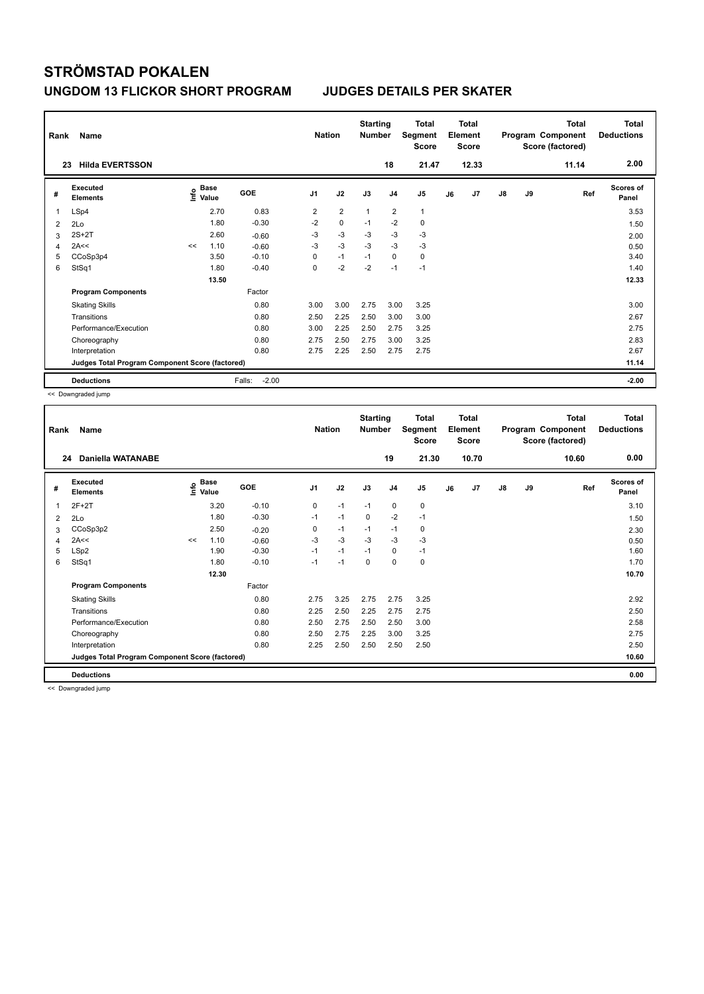| Rank | Name                                            |    |                                  |                   | <b>Nation</b>  |                | <b>Starting</b><br><b>Number</b> |                | <b>Total</b><br>Segment<br>Score |    | <b>Total</b><br>Element<br><b>Score</b> |    |    | <b>Total</b><br>Program Component<br>Score (factored) | <b>Total</b><br><b>Deductions</b> |
|------|-------------------------------------------------|----|----------------------------------|-------------------|----------------|----------------|----------------------------------|----------------|----------------------------------|----|-----------------------------------------|----|----|-------------------------------------------------------|-----------------------------------|
| 23   | <b>Hilda EVERTSSON</b>                          |    |                                  |                   |                |                |                                  | 18             | 21.47                            |    | 12.33                                   |    |    | 11.14                                                 | 2.00                              |
| #    | <b>Executed</b><br><b>Elements</b>              |    | <b>Base</b><br>e Base<br>⊆ Value | GOE               | J <sub>1</sub> | J2             | J3                               | J <sub>4</sub> | J5                               | J6 | J7                                      | J8 | J9 | Ref                                                   | Scores of<br>Panel                |
| 1    | LSp4                                            |    | 2.70                             | 0.83              | $\overline{2}$ | $\overline{2}$ | $\overline{1}$                   | $\overline{2}$ | $\mathbf{1}$                     |    |                                         |    |    |                                                       | 3.53                              |
| 2    | 2Lo                                             |    | 1.80                             | $-0.30$           | $-2$           | $\mathbf 0$    | $-1$                             | $-2$           | $\mathbf 0$                      |    |                                         |    |    |                                                       | 1.50                              |
| 3    | $2S+2T$                                         |    | 2.60                             | $-0.60$           | $-3$           | $-3$           | $-3$                             | $-3$           | $-3$                             |    |                                         |    |    |                                                       | 2.00                              |
| 4    | 2A<<                                            | << | 1.10                             | $-0.60$           | $-3$           | $-3$           | $-3$                             | $-3$           | $-3$                             |    |                                         |    |    |                                                       | 0.50                              |
| 5    | CCoSp3p4                                        |    | 3.50                             | $-0.10$           | 0              | $-1$           | $-1$                             | 0              | $\mathbf 0$                      |    |                                         |    |    |                                                       | 3.40                              |
| 6    | StSq1                                           |    | 1.80                             | $-0.40$           | 0              | $-2$           | $-2$                             | $-1$           | $-1$                             |    |                                         |    |    |                                                       | 1.40                              |
|      |                                                 |    | 13.50                            |                   |                |                |                                  |                |                                  |    |                                         |    |    |                                                       | 12.33                             |
|      | <b>Program Components</b>                       |    |                                  | Factor            |                |                |                                  |                |                                  |    |                                         |    |    |                                                       |                                   |
|      | <b>Skating Skills</b>                           |    |                                  | 0.80              | 3.00           | 3.00           | 2.75                             | 3.00           | 3.25                             |    |                                         |    |    |                                                       | 3.00                              |
|      | Transitions                                     |    |                                  | 0.80              | 2.50           | 2.25           | 2.50                             | 3.00           | 3.00                             |    |                                         |    |    |                                                       | 2.67                              |
|      | Performance/Execution                           |    |                                  | 0.80              | 3.00           | 2.25           | 2.50                             | 2.75           | 3.25                             |    |                                         |    |    |                                                       | 2.75                              |
|      | Choreography                                    |    |                                  | 0.80              | 2.75           | 2.50           | 2.75                             | 3.00           | 3.25                             |    |                                         |    |    |                                                       | 2.83                              |
|      | Interpretation                                  |    |                                  | 0.80              | 2.75           | 2.25           | 2.50                             | 2.75           | 2.75                             |    |                                         |    |    |                                                       | 2.67                              |
|      | Judges Total Program Component Score (factored) |    |                                  |                   |                |                |                                  |                |                                  |    |                                         |    |    |                                                       | 11.14                             |
|      | <b>Deductions</b>                               |    |                                  | $-2.00$<br>Falls: |                |                |                                  |                |                                  |    |                                         |    |    |                                                       | $-2.00$                           |

<< Downgraded jump

| Rank         | Name                                            |    |                                    |         | <b>Nation</b>  |      | <b>Starting</b><br><b>Number</b> |                | <b>Total</b><br>Segment<br><b>Score</b> |    | <b>Total</b><br>Element<br><b>Score</b> |    |    | <b>Total</b><br>Program Component<br>Score (factored) | <b>Total</b><br><b>Deductions</b> |
|--------------|-------------------------------------------------|----|------------------------------------|---------|----------------|------|----------------------------------|----------------|-----------------------------------------|----|-----------------------------------------|----|----|-------------------------------------------------------|-----------------------------------|
| 24           | Daniella WATANABE                               |    |                                    |         |                |      |                                  | 19             | 21.30                                   |    | 10.70                                   |    |    | 10.60                                                 | 0.00                              |
| #            | Executed<br><b>Elements</b>                     |    | <b>Base</b><br>$\frac{6}{5}$ Value | GOE     | J <sub>1</sub> | J2   | J3                               | J <sub>4</sub> | J <sub>5</sub>                          | J6 | J7                                      | J8 | J9 | Ref                                                   | Scores of<br>Panel                |
| $\mathbf{1}$ | $2F+2T$                                         |    | 3.20                               | $-0.10$ | 0              | $-1$ | $-1$                             | $\mathbf 0$    | 0                                       |    |                                         |    |    |                                                       | 3.10                              |
| 2            | 2Lo                                             |    | 1.80                               | $-0.30$ | $-1$           | $-1$ | $\mathbf 0$                      | $-2$           | $-1$                                    |    |                                         |    |    |                                                       | 1.50                              |
| 3            | CCoSp3p2                                        |    | 2.50                               | $-0.20$ | 0              | $-1$ | $-1$                             | $-1$           | 0                                       |    |                                         |    |    |                                                       | 2.30                              |
| 4            | 2A<<                                            | << | 1.10                               | $-0.60$ | $-3$           | $-3$ | $-3$                             | $-3$           | $-3$                                    |    |                                         |    |    |                                                       | 0.50                              |
| 5            | LSp2                                            |    | 1.90                               | $-0.30$ | $-1$           | $-1$ | $-1$                             | 0              | $-1$                                    |    |                                         |    |    |                                                       | 1.60                              |
| 6            | StSq1                                           |    | 1.80                               | $-0.10$ | $-1$           | $-1$ | $\mathbf 0$                      | $\mathbf 0$    | 0                                       |    |                                         |    |    |                                                       | 1.70                              |
|              |                                                 |    | 12.30                              |         |                |      |                                  |                |                                         |    |                                         |    |    |                                                       | 10.70                             |
|              | <b>Program Components</b>                       |    |                                    | Factor  |                |      |                                  |                |                                         |    |                                         |    |    |                                                       |                                   |
|              | <b>Skating Skills</b>                           |    |                                    | 0.80    | 2.75           | 3.25 | 2.75                             | 2.75           | 3.25                                    |    |                                         |    |    |                                                       | 2.92                              |
|              | Transitions                                     |    |                                    | 0.80    | 2.25           | 2.50 | 2.25                             | 2.75           | 2.75                                    |    |                                         |    |    |                                                       | 2.50                              |
|              | Performance/Execution                           |    |                                    | 0.80    | 2.50           | 2.75 | 2.50                             | 2.50           | 3.00                                    |    |                                         |    |    |                                                       | 2.58                              |
|              | Choreography                                    |    |                                    | 0.80    | 2.50           | 2.75 | 2.25                             | 3.00           | 3.25                                    |    |                                         |    |    |                                                       | 2.75                              |
|              | Interpretation                                  |    |                                    | 0.80    | 2.25           | 2.50 | 2.50                             | 2.50           | 2.50                                    |    |                                         |    |    |                                                       | 2.50                              |
|              | Judges Total Program Component Score (factored) |    |                                    |         |                |      |                                  |                |                                         |    |                                         |    |    |                                                       | 10.60                             |
|              | <b>Deductions</b>                               |    |                                    |         |                |      |                                  |                |                                         |    |                                         |    |    |                                                       | 0.00                              |

<< Downgraded jump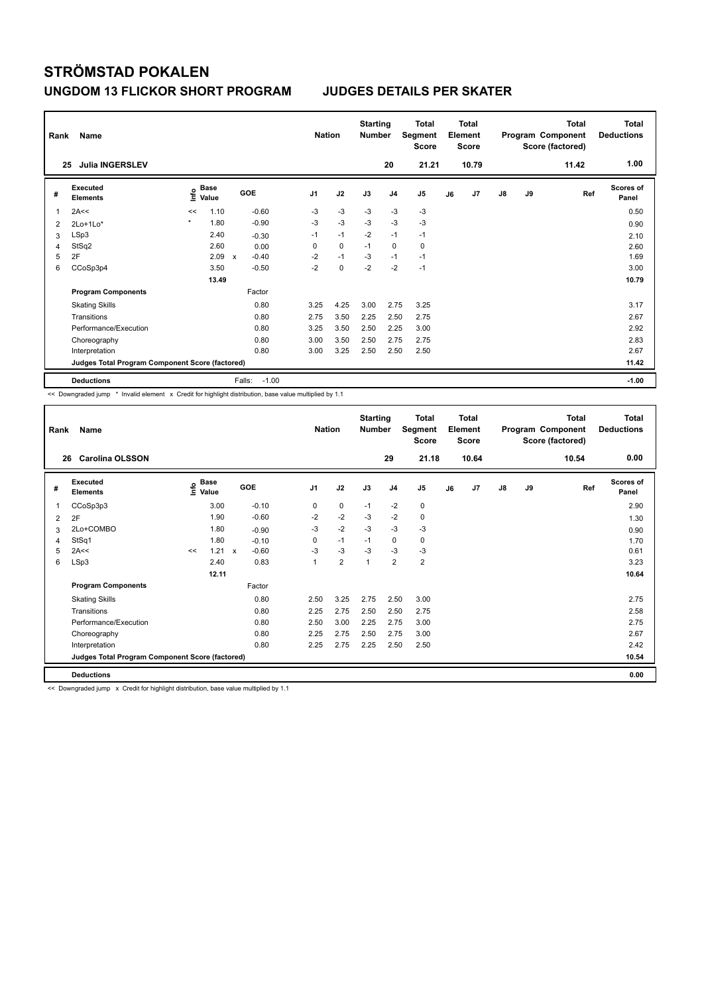| Rank<br>25                                      | <b>Name</b><br><b>Julia INGERSLEV</b> |         |                      |             |         | <b>Nation</b>  |             | <b>Starting</b><br><b>Number</b> | 20             | <b>Total</b><br>Segment<br><b>Score</b><br>21.21 |    | <b>Total</b><br>Element<br><b>Score</b><br>10.79 |               |    | <b>Total</b><br>Program Component<br>Score (factored)<br>11.42 | Total<br><b>Deductions</b><br>1.00 |
|-------------------------------------------------|---------------------------------------|---------|----------------------|-------------|---------|----------------|-------------|----------------------------------|----------------|--------------------------------------------------|----|--------------------------------------------------|---------------|----|----------------------------------------------------------------|------------------------------------|
| #                                               | Executed<br><b>Elements</b>           | lnfo    | <b>Base</b><br>Value | GOE         |         | J <sub>1</sub> | J2          | J3                               | J <sub>4</sub> | J <sub>5</sub>                                   | J6 | J7                                               | $\mathsf{J}8$ | J9 | Ref                                                            | <b>Scores of</b><br>Panel          |
| 1                                               | 2A<<                                  | <<      | 1.10                 |             | $-0.60$ | -3             | $-3$        | -3                               | $-3$           | $-3$                                             |    |                                                  |               |    |                                                                | 0.50                               |
| 2                                               | $2Lo+1Lo*$                            | $\star$ | 1.80                 |             | $-0.90$ | $-3$           | $-3$        | $-3$                             | $-3$           | $-3$                                             |    |                                                  |               |    |                                                                | 0.90                               |
| 3                                               | LSp3                                  |         | 2.40                 |             | $-0.30$ | $-1$           | $-1$        | $-2$                             | $-1$           | $-1$                                             |    |                                                  |               |    |                                                                | 2.10                               |
| 4                                               | StSq2                                 |         | 2.60                 |             | 0.00    | 0              | 0           | $-1$                             | 0              | 0                                                |    |                                                  |               |    |                                                                | 2.60                               |
| 5                                               | 2F                                    |         | 2.09                 | $\mathbf x$ | $-0.40$ | $-2$           | $-1$        | $-3$                             | $-1$           | $-1$                                             |    |                                                  |               |    |                                                                | 1.69                               |
| 6                                               | CCoSp3p4                              |         | 3.50                 |             | $-0.50$ | $-2$           | $\mathbf 0$ | $-2$                             | $-2$           | $-1$                                             |    |                                                  |               |    |                                                                | 3.00                               |
|                                                 |                                       |         | 13.49                |             |         |                |             |                                  |                |                                                  |    |                                                  |               |    |                                                                | 10.79                              |
|                                                 | <b>Program Components</b>             |         |                      |             | Factor  |                |             |                                  |                |                                                  |    |                                                  |               |    |                                                                |                                    |
|                                                 | <b>Skating Skills</b>                 |         |                      |             | 0.80    | 3.25           | 4.25        | 3.00                             | 2.75           | 3.25                                             |    |                                                  |               |    |                                                                | 3.17                               |
|                                                 | Transitions                           |         |                      |             | 0.80    | 2.75           | 3.50        | 2.25                             | 2.50           | 2.75                                             |    |                                                  |               |    |                                                                | 2.67                               |
|                                                 | Performance/Execution                 |         |                      |             | 0.80    | 3.25           | 3.50        | 2.50                             | 2.25           | 3.00                                             |    |                                                  |               |    |                                                                | 2.92                               |
|                                                 | Choreography                          |         |                      |             | 0.80    | 3.00           | 3.50        | 2.50                             | 2.75           | 2.75                                             |    |                                                  |               |    |                                                                | 2.83                               |
|                                                 | Interpretation                        |         |                      |             | 0.80    | 3.00           | 3.25        | 2.50                             | 2.50           | 2.50                                             |    |                                                  |               |    |                                                                | 2.67                               |
| Judges Total Program Component Score (factored) |                                       |         |                      |             |         |                |             |                                  |                |                                                  |    | 11.42                                            |               |    |                                                                |                                    |
|                                                 | <b>Deductions</b>                     |         |                      | Falls:      | $-1.00$ |                |             |                                  |                |                                                  |    |                                                  |               |    |                                                                | $-1.00$                            |

<< Downgraded jump \* Invalid element x Credit for highlight distribution, base value multiplied by 1.1

| Rank | Name                                            |    |                                    |              |         | <b>Nation</b>  |                         | <b>Starting</b><br><b>Number</b> |                | <b>Total</b><br>Segment<br><b>Score</b> | <b>Total</b><br>Element<br><b>Score</b> |       |               |    | <b>Total</b><br>Program Component<br>Score (factored) | <b>Total</b><br><b>Deductions</b> |
|------|-------------------------------------------------|----|------------------------------------|--------------|---------|----------------|-------------------------|----------------------------------|----------------|-----------------------------------------|-----------------------------------------|-------|---------------|----|-------------------------------------------------------|-----------------------------------|
| 26   | <b>Carolina OLSSON</b>                          |    |                                    |              |         |                |                         |                                  | 29             | 21.18                                   |                                         | 10.64 |               |    | 10.54                                                 | 0.00                              |
| #    | Executed<br><b>Elements</b>                     |    | <b>Base</b><br>$\frac{6}{5}$ Value | GOE          |         | J <sub>1</sub> | J2                      | J3                               | J <sub>4</sub> | J <sub>5</sub>                          | J6                                      | J7    | $\mathsf{J}8$ | J9 | Ref                                                   | Scores of<br>Panel                |
| 1    | CCoSp3p3                                        |    | 3.00                               |              | $-0.10$ | 0              | 0                       | $-1$                             | $-2$           | 0                                       |                                         |       |               |    |                                                       | 2.90                              |
| 2    | 2F                                              |    | 1.90                               |              | $-0.60$ | $-2$           | $-2$                    | $-3$                             | $-2$           | 0                                       |                                         |       |               |    |                                                       | 1.30                              |
| 3    | 2Lo+COMBO                                       |    | 1.80                               |              | $-0.90$ | $-3$           | $-2$                    | $-3$                             | $-3$           | $-3$                                    |                                         |       |               |    |                                                       | 0.90                              |
| 4    | StSq1                                           |    | 1.80                               |              | $-0.10$ | 0              | $-1$                    | $-1$                             | $\mathbf 0$    | 0                                       |                                         |       |               |    |                                                       | 1.70                              |
| 5    | 2A<<                                            | << | 1.21                               | $\mathbf{x}$ | $-0.60$ | $-3$           | $-3$                    | $-3$                             | $-3$           | $-3$                                    |                                         |       |               |    |                                                       | 0.61                              |
| 6    | LSp3                                            |    | 2.40                               |              | 0.83    | 1              | $\overline{\mathbf{c}}$ | 1                                | 2              | $\overline{\mathbf{c}}$                 |                                         |       |               |    |                                                       | 3.23                              |
|      |                                                 |    | 12.11                              |              |         |                |                         |                                  |                |                                         |                                         |       |               |    |                                                       | 10.64                             |
|      | <b>Program Components</b>                       |    |                                    |              | Factor  |                |                         |                                  |                |                                         |                                         |       |               |    |                                                       |                                   |
|      | <b>Skating Skills</b>                           |    |                                    |              | 0.80    | 2.50           | 3.25                    | 2.75                             | 2.50           | 3.00                                    |                                         |       |               |    |                                                       | 2.75                              |
|      | Transitions                                     |    |                                    |              | 0.80    | 2.25           | 2.75                    | 2.50                             | 2.50           | 2.75                                    |                                         |       |               |    |                                                       | 2.58                              |
|      | Performance/Execution                           |    |                                    |              | 0.80    | 2.50           | 3.00                    | 2.25                             | 2.75           | 3.00                                    |                                         |       |               |    |                                                       | 2.75                              |
|      | Choreography                                    |    |                                    |              | 0.80    | 2.25           | 2.75                    | 2.50                             | 2.75           | 3.00                                    |                                         |       |               |    |                                                       | 2.67                              |
|      | Interpretation                                  |    |                                    |              | 0.80    | 2.25           | 2.75                    | 2.25                             | 2.50           | 2.50                                    |                                         |       |               |    |                                                       | 2.42                              |
|      | Judges Total Program Component Score (factored) |    |                                    |              |         |                |                         |                                  |                |                                         |                                         |       |               |    |                                                       | 10.54                             |
|      | <b>Deductions</b>                               |    |                                    |              |         |                |                         |                                  |                |                                         |                                         |       |               |    |                                                       | 0.00                              |